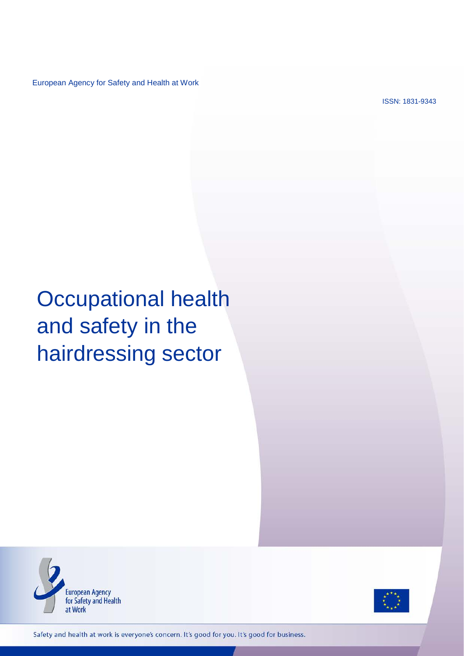European Agency for Safety and Health at Work

ISSN: 1831-9343

# Occupational health and safety in the hairdressing sector





Safety and health at work is everyone's concern. It's good for you. It's good for business.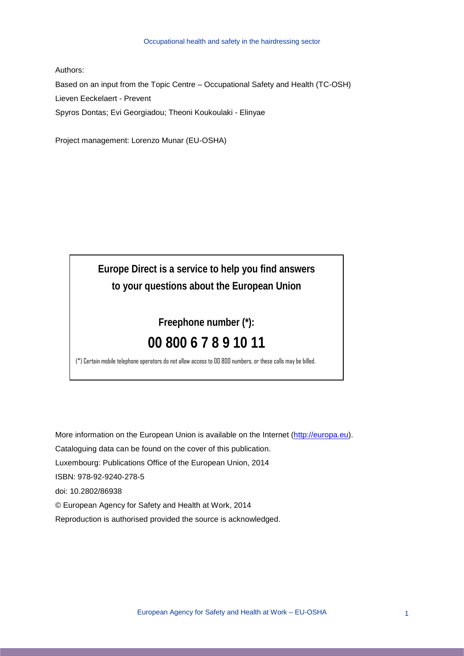#### Occupational health and safety in the hairdressing sector

Authors:

Based on an input from the Topic Centre – Occupational Safety and Health (TC-OSH) Lieven Eeckelaert - Prevent Spyros Dontas; Evi Georgiadou; Theoni Koukoulaki - Elinyae

Project management: Lorenzo Munar (EU-OSHA)

# **Europe Direct is a service to help you find answers to your questions about the European Union**

# **Freephone number (\*): 00 800 6 7 8 9 10 11**

(\*) Certain mobile telephone operators do not allow access to 00 800 numbers, or these calls may be billed.

More information on the European Union is available on the Internet [\(http://europa.eu\)](http://europa.eu/).

Cataloguing data can be found on the cover of this publication.

Luxembourg: Publications Office of the European Union, 2014

ISBN: 978-92-9240-278-5

doi: 10.2802/86938

© European Agency for Safety and Health at Work, 2014

Reproduction is authorised provided the source is acknowledged.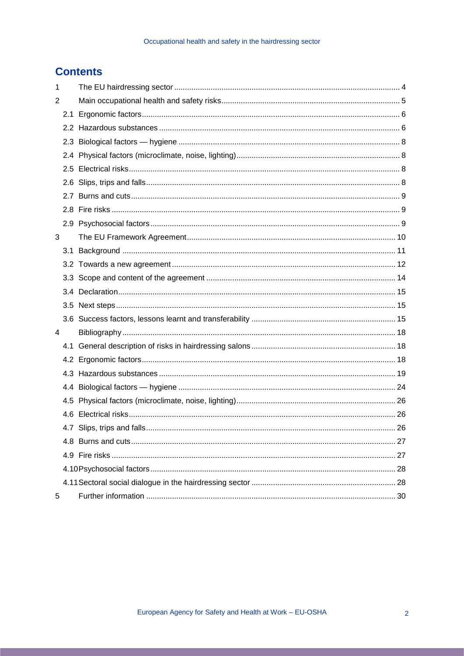## **Contents**

| 1 |  |  |
|---|--|--|
| 2 |  |  |
|   |  |  |
|   |  |  |
|   |  |  |
|   |  |  |
|   |  |  |
|   |  |  |
|   |  |  |
|   |  |  |
|   |  |  |
| 3 |  |  |
|   |  |  |
|   |  |  |
|   |  |  |
|   |  |  |
|   |  |  |
|   |  |  |
| 4 |  |  |
|   |  |  |
|   |  |  |
|   |  |  |
|   |  |  |
|   |  |  |
|   |  |  |
|   |  |  |
|   |  |  |
|   |  |  |
|   |  |  |
|   |  |  |
| 5 |  |  |
|   |  |  |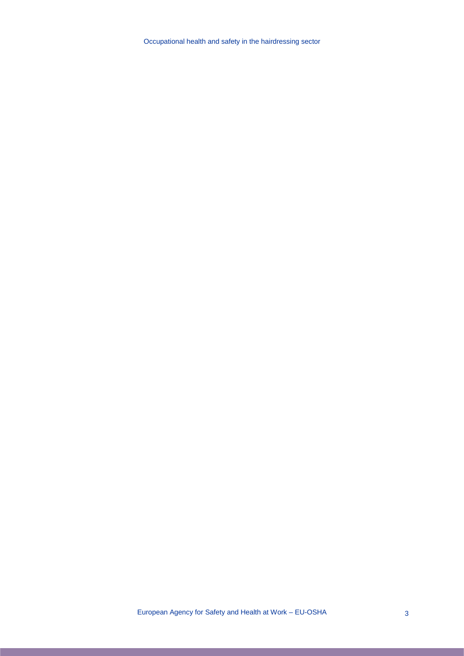<span id="page-3-0"></span>Occupational health and safety in the hairdressing sector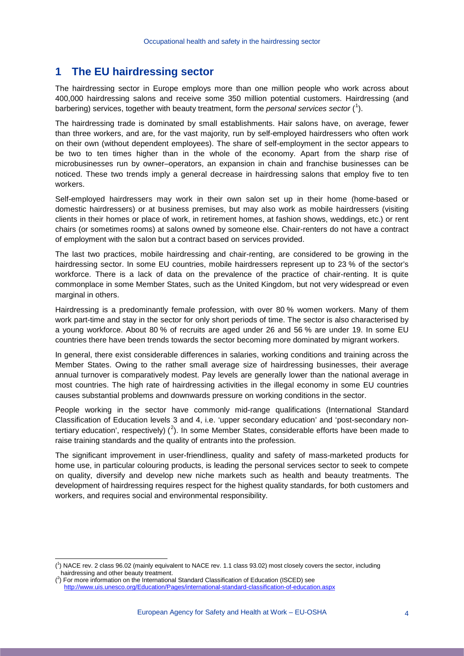## **1 The EU hairdressing sector**

The hairdressing sector in Europe employs more than one million people who work across about 400,000 hairdressing salons and receive some 350 million potential customers. Hairdressing (and barbering) services, together with beauty treatment, form the *personal services sector* ( [1](#page-4-0) ).

The hairdressing trade is dominated by small establishments. Hair salons have, on average, fewer than three workers, and are, for the vast majority, run by self-employed hairdressers who often work on their own (without dependent employees). The share of self-employment in the sector appears to be two to ten times higher than in the whole of the economy. Apart from the sharp rise of microbusinesses run by owner–operators, an expansion in chain and franchise businesses can be noticed. These two trends imply a general decrease in hairdressing salons that employ five to ten workers.

Self-employed hairdressers may work in their own salon set up in their home (home-based or domestic hairdressers) or at business premises, but may also work as mobile hairdressers (visiting clients in their homes or place of work, in retirement homes, at fashion shows, weddings, etc.) or rent chairs (or sometimes rooms) at salons owned by someone else. Chair-renters do not have a contract of employment with the salon but a contract based on services provided.

The last two practices, mobile hairdressing and chair-renting, are considered to be growing in the hairdressing sector. In some EU countries, mobile hairdressers represent up to 23 % of the sector's workforce. There is a lack of data on the prevalence of the practice of chair-renting. It is quite commonplace in some Member States, such as the United Kingdom, but not very widespread or even marginal in others.

Hairdressing is a predominantly female profession, with over 80 % women workers. Many of them work part-time and stay in the sector for only short periods of time. The sector is also characterised by a young workforce. About 80 % of recruits are aged under 26 and 56 % are under 19. In some EU countries there have been trends towards the sector becoming more dominated by migrant workers.

In general, there exist considerable differences in salaries, working conditions and training across the Member States. Owing to the rather small average size of hairdressing businesses, their average annual turnover is comparatively modest. Pay levels are generally lower than the national average in most countries. The high rate of hairdressing activities in the illegal economy in some EU countries causes substantial problems and downwards pressure on working conditions in the sector.

People working in the sector have commonly mid-range qualifications (International Standard Classification of Education levels 3 and 4, i.e. 'upper secondary education' and 'post-secondary nontertiary education', respectively)  $(^2)$  $(^2)$  $(^2)$ . In some Member States, considerable efforts have been made to raise training standards and the quality of entrants into the profession.

The significant improvement in user-friendliness, quality and safety of mass-marketed products for home use, in particular colouring products, is leading the personal services sector to seek to compete on quality, diversify and develop new niche markets such as health and beauty treatments. The development of hairdressing requires respect for the highest quality standards, for both customers and workers, and requires social and environmental responsibility.

-

<span id="page-4-0"></span><sup>(</sup> 1 ) NACE rev. 2 class 96.02 (mainly equivalent to NACE rev. 1.1 class 93.02) most closely covers the sector, including hairdressing and other beauty treatment.

<span id="page-4-1"></span> $(2)$  For more information on the International Standard Classification of Education (ISCED) see <http://www.uis.unesco.org/Education/Pages/international-standard-classification-of-education.aspx>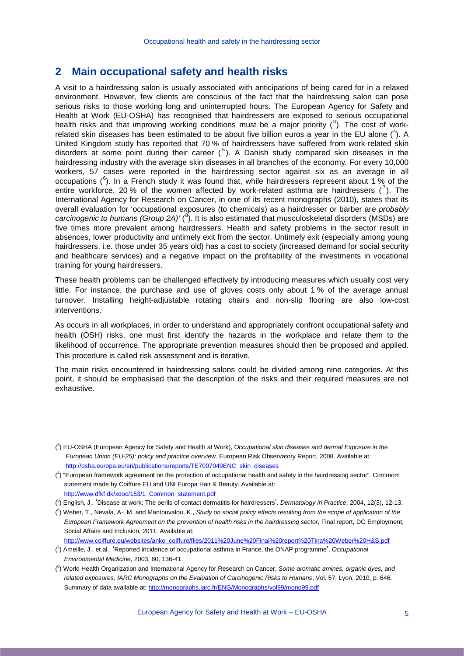## <span id="page-5-0"></span>**2 Main occupational safety and health risks**

A visit to a hairdressing salon is usually associated with anticipations of being cared for in a relaxed environment. However, few clients are conscious of the fact that the hairdressing salon can pose serious risks to those working long and uninterrupted hours. The European Agency for Safety and Health at Work (EU-OSHA) has recognised that hairdressers are exposed to serious occupational health risks and that improving working conditions must be a major priority  $(3)$  $(3)$  $(3)$ . The cost of workrelated skin diseases has been estimated to be about five billion euros a year in the EU alone  $(^4)$  $(^4)$  $(^4)$ . A United Kingdom study has reported that 70 % of hairdressers have suffered from work-related skin disorders at some point during their career  $(^5)$  $(^5)$  $(^5)$ . A Danish study compared skin diseases in the hairdressing industry with the average skin diseases in all branches of the economy. For every 10,000 workers, 57 cases were reported in the hairdressing sector against six as an average in all occupations  $(^6)$  $(^6)$  $(^6)$ . In a French study it was found that, while hairdressers represent about 1 % of the entire workforce, 20% of the women affected by work-related asthma are hairdressers  $\binom{7}{1}$  $\binom{7}{1}$  $\binom{7}{1}$ . The International Agency for Research on Cancer, in one of its recent monographs (2010), states that its overall evaluation for 'occupational exposures (to chemicals) as a hairdresser or barber are *probably*  carcinogenic to humans (Group 2A)' (<sup>[8](#page-5-6)</sup>). It is also estimated that musculoskeletal disorders (MSDs) are five times more prevalent among hairdressers. Health and safety problems in the sector result in absences, lower productivity and untimely exit from the sector. Untimely exit (especially among young hairdressers, i.e. those under 35 years old) has a cost to society (increased demand for social security and healthcare services) and a negative impact on the profitability of the investments in vocational training for young hairdressers.

These health problems can be challenged effectively by introducing measures which usually cost very little. For instance, the purchase and use of gloves costs only about 1 % of the average annual turnover. Installing height-adjustable rotating chairs and non-slip flooring are also low-cost interventions.

As occurs in all workplaces, in order to understand and appropriately confront occupational safety and health (OSH) risks, one must first identify the hazards in the workplace and relate them to the likelihood of occurrence. The appropriate prevention measures should then be proposed and applied. This procedure is called risk assessment and is iterative.

The main risks encountered in hairdressing salons could be divided among nine categories. At this point, it should be emphasised that the description of the risks and their required measures are not exhaustive.

-

<span id="page-5-1"></span><sup>(</sup> 3 ) EU-OSHA (European Agency for Safety and Health at Work), *Occupational skin diseases and dermal Exposure in the European Union (EU-25): policy and practice overview*. European Risk Observatory Report, 2008. Available at: [http://osha.europa.eu/en/publications/reports/TE7007049ENC\\_skin\\_diseases](http://osha.europa.eu/en/publications/reports/TE7007049ENC_skin_diseases)

<span id="page-5-2"></span><sup>(</sup> 4 ) "European framework agreement on the protection of occupational health and safety in the hairdressing sector". Commom statement made by Coiffure EU and UNI Europa Hair & Beauty. Available at: [http://www.dfkf.dk/xdoc/153/1\\_Common\\_statement.pdf](http://www.dfkf.dk/xdoc/153/1_Common_statement.pdf)

<span id="page-5-3"></span><sup>(</sup> 5 ) English, J., 'Disease at work: The perils of contact dermatitis for hairdressers'. *Dermatology in Practice*, 2004, 12(3), 12-13.

<span id="page-5-4"></span><sup>(</sup> 6 ) Weber, T., Nevala, A-. M. and Mantouvalou, K., *Study on social policy effects resulting from the scope of application of the European Framework Agreement on the prevention of health risks in the hairdressing sector*, Final report, DG Employment, Social Affairs and Inclusion, 2011. Available at: [http://www.coiffure.eu/websites/anko\\_coiffure/files/2011%20June%20Final%20report%20Tina%20Weber%20H&S.pdf](http://www.coiffure.eu/websites/anko_coiffure/files/2011%20June%20Final%20report%20Tina%20Weber%20H&S.pdf)

<span id="page-5-5"></span><sup>(</sup> 7 ) Ameille, J., et al., 'Reported incidence of occupational asthma in France, the ONAP programme', *Occupational Environmental Medicine*, 2003, 60, 136-41.

<span id="page-5-6"></span><sup>(</sup> 8 ) World Health Organization and International Agency for Research on Cancer, *Some aromatic amines, organic dyes, and related exposures, IARC Monographs on the Evaluation of Carcinogenic Risks to Humans*, Vol. 57, Lyon, 2010, p. 646. Summary of data available at[: http://monographs.iarc.fr/ENG/Monographs/vol99/mono99.pdf](http://monographs.iarc.fr/ENG/Monographs/vol99/mono99.pdf)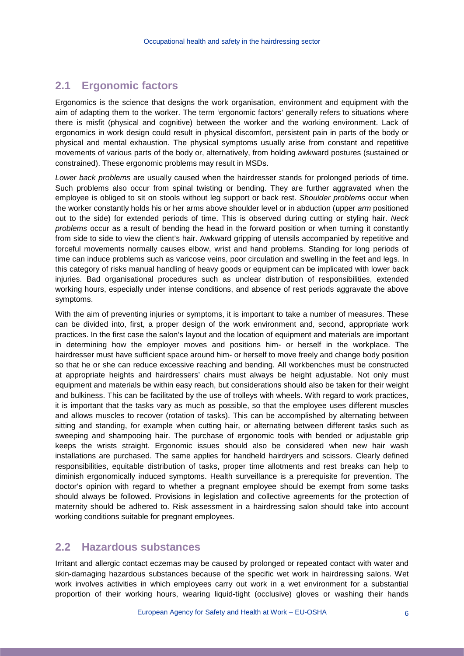## <span id="page-6-0"></span>**2.1 Ergonomic factors**

Ergonomics is the science that designs the work organisation, environment and equipment with the aim of adapting them to the worker. The term 'ergonomic factors' generally refers to situations where there is misfit (physical and cognitive) between the worker and the working environment. Lack of ergonomics in work design could result in physical discomfort, persistent pain in parts of the body or physical and mental exhaustion. The physical symptoms usually arise from constant and repetitive movements of various parts of the body or, alternatively, from holding awkward postures (sustained or constrained). These ergonomic problems may result in MSDs.

*Lower back problems* are usually caused when the hairdresser stands for prolonged periods of time. Such problems also occur from spinal twisting or bending. They are further aggravated when the employee is obliged to sit on stools without leg support or back rest. *Shoulder problems* occur when the worker constantly holds his or her arms above shoulder level or in abduction (upper *arm* positioned out to the side) for extended periods of time. This is observed during cutting or styling hair. *Neck problems* occur as a result of bending the head in the forward position or when turning it constantly from side to side to view the client's hair. Awkward gripping of utensils accompanied by repetitive and forceful movements normally causes elbow, wrist and hand problems. Standing for long periods of time can induce problems such as varicose veins, poor circulation and swelling in the feet and legs. In this category of risks manual handling of heavy goods or equipment can be implicated with lower back injuries. Bad organisational procedures such as unclear distribution of responsibilities, extended working hours, especially under intense conditions, and absence of rest periods aggravate the above symptoms.

With the aim of preventing injuries or symptoms, it is important to take a number of measures. These can be divided into, first, a proper design of the work environment and, second, appropriate work practices. In the first case the salon's layout and the location of equipment and materials are important in determining how the employer moves and positions him- or herself in the workplace. The hairdresser must have sufficient space around him- or herself to move freely and change body position so that he or she can reduce excessive reaching and bending. All workbenches must be constructed at appropriate heights and hairdressers' chairs must always be height adjustable. Not only must equipment and materials be within easy reach, but considerations should also be taken for their weight and bulkiness. This can be facilitated by the use of trolleys with wheels. With regard to work practices, it is important that the tasks vary as much as possible, so that the employee uses different muscles and allows muscles to recover (rotation of tasks). This can be accomplished by alternating between sitting and standing, for example when cutting hair, or alternating between different tasks such as sweeping and shampooing hair. The purchase of ergonomic tools with bended or adjustable grip keeps the wrists straight. Ergonomic issues should also be considered when new hair wash installations are purchased. The same applies for handheld hairdryers and scissors. Clearly defined responsibilities, equitable distribution of tasks, proper time allotments and rest breaks can help to diminish ergonomically induced symptoms. Health surveillance is a prerequisite for prevention. The doctor's opinion with regard to whether a pregnant employee should be exempt from some tasks should always be followed. Provisions in legislation and collective agreements for the protection of maternity should be adhered to. Risk assessment in a hairdressing salon should take into account working conditions suitable for pregnant employees.

#### <span id="page-6-1"></span>**2.2 Hazardous substances**

Irritant and allergic contact eczemas may be caused by prolonged or repeated contact with water and skin-damaging hazardous substances because of the specific wet work in hairdressing salons. Wet work involves activities in which employees carry out work in a wet environment for a substantial proportion of their working hours, wearing liquid-tight (occlusive) gloves or washing their hands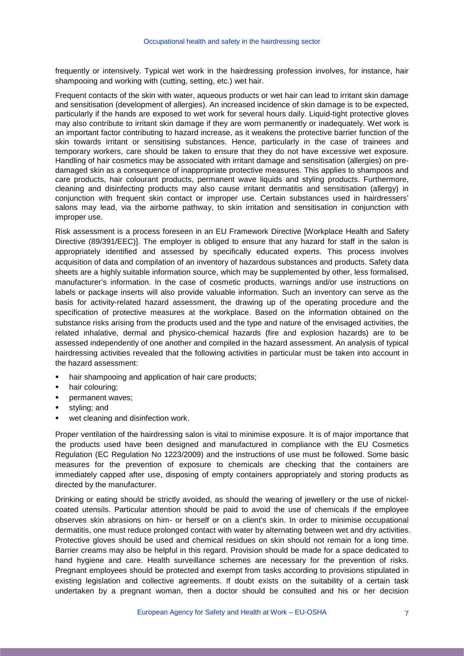frequently or intensively. Typical wet work in the hairdressing profession involves, for instance, hair shampooing and working with (cutting, setting, etc.) wet hair.

Frequent contacts of the skin with water, aqueous products or wet hair can lead to irritant skin damage and sensitisation (development of allergies). An increased incidence of skin damage is to be expected, particularly if the hands are exposed to wet work for several hours daily. Liquid-tight protective gloves may also contribute to irritant skin damage if they are worn permanently or inadequately. Wet work is an important factor contributing to hazard increase, as it weakens the protective barrier function of the skin towards irritant or sensitising substances. Hence, particularly in the case of trainees and temporary workers, care should be taken to ensure that they do not have excessive wet exposure. Handling of hair cosmetics may be associated with irritant damage and sensitisation (allergies) on predamaged skin as a consequence of inappropriate protective measures. This applies to shampoos and care products, hair colourant products, permanent wave liquids and styling products. Furthermore, cleaning and disinfecting products may also cause irritant dermatitis and sensitisation (allergy) in conjunction with frequent skin contact or improper use. Certain substances used in hairdressers' salons may lead, via the airborne pathway, to skin irritation and sensitisation in conjunction with improper use.

Risk assessment is a process foreseen in an EU Framework Directive [Workplace Health and Safety Directive (89/391/EEC)]. The employer is obliged to ensure that any hazard for staff in the salon is appropriately identified and assessed by specifically educated experts. This process involves acquisition of data and compilation of an inventory of hazardous substances and products. Safety data sheets are a highly suitable information source, which may be supplemented by other, less formalised, manufacturer's information. In the case of cosmetic products, warnings and/or use instructions on labels or package inserts will also provide valuable information. Such an inventory can serve as the basis for activity-related hazard assessment, the drawing up of the operating procedure and the specification of protective measures at the workplace. Based on the information obtained on the substance risks arising from the products used and the type and nature of the envisaged activities, the related inhalative, dermal and physico-chemical hazards (fire and explosion hazards) are to be assessed independently of one another and compiled in the hazard assessment. An analysis of typical hairdressing activities revealed that the following activities in particular must be taken into account in the hazard assessment:

- hair shampooing and application of hair care products;
- hair colouring;
- permanent waves;
- **styling; and**
- wet cleaning and disinfection work.

Proper ventilation of the hairdressing salon is vital to minimise exposure. It is of major importance that the products used have been designed and manufactured in compliance with the EU Cosmetics Regulation (EC Regulation No 1223/2009) and the instructions of use must be followed. Some basic measures for the prevention of exposure to chemicals are checking that the containers are immediately capped after use, disposing of empty containers appropriately and storing products as directed by the manufacturer.

Drinking or eating should be strictly avoided, as should the wearing of jewellery or the use of nickelcoated utensils. Particular attention should be paid to avoid the use of chemicals if the employee observes skin abrasions on him- or herself or on a client's skin. In order to minimise occupational dermatitis, one must reduce prolonged contact with water by alternating between wet and dry activities. Protective gloves should be used and chemical residues on skin should not remain for a long time. Barrier creams may also be helpful in this regard. Provision should be made for a space dedicated to hand hygiene and care. Health surveillance schemes are necessary for the prevention of risks. Pregnant employees should be protected and exempt from tasks according to provisions stipulated in existing legislation and collective agreements. If doubt exists on the suitability of a certain task undertaken by a pregnant woman, then a doctor should be consulted and his or her decision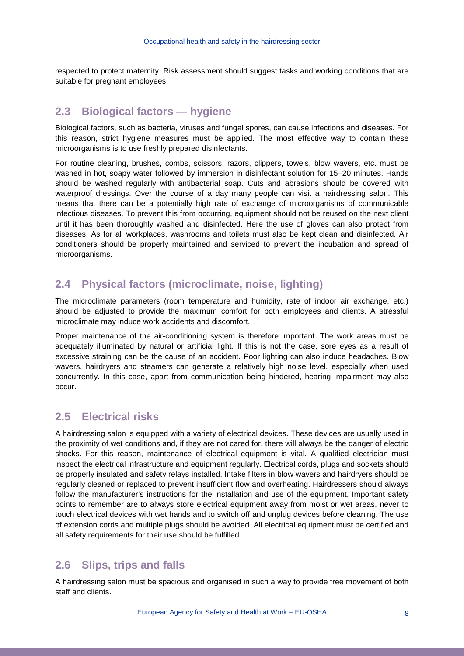respected to protect maternity. Risk assessment should suggest tasks and working conditions that are suitable for pregnant employees.

## <span id="page-8-0"></span>**2.3 Biological factors — hygiene**

Biological factors, such as bacteria, viruses and fungal spores, can cause infections and diseases. For this reason, strict hygiene measures must be applied. The most effective way to contain these microorganisms is to use freshly prepared disinfectants.

For routine cleaning, brushes, combs, scissors, razors, clippers, towels, blow wavers, etc. must be washed in hot, soapy water followed by immersion in disinfectant solution for 15–20 minutes. Hands should be washed regularly with antibacterial soap. Cuts and abrasions should be covered with waterproof dressings. Over the course of a day many people can visit a hairdressing salon. This means that there can be a potentially high rate of exchange of microorganisms of communicable infectious diseases. To prevent this from occurring, equipment should not be reused on the next client until it has been thoroughly washed and disinfected. Here the use of gloves can also protect from diseases. As for all workplaces, washrooms and toilets must also be kept clean and disinfected. Air conditioners should be properly maintained and serviced to prevent the incubation and spread of microorganisms.

## <span id="page-8-1"></span>**2.4 Physical factors (microclimate, noise, lighting)**

The microclimate parameters (room temperature and humidity, rate of indoor air exchange, etc.) should be adjusted to provide the maximum comfort for both employees and clients. A stressful microclimate may induce work accidents and discomfort.

Proper maintenance of the air-conditioning system is therefore important. The work areas must be adequately illuminated by natural or artificial light. If this is not the case, sore eyes as a result of excessive straining can be the cause of an accident. Poor lighting can also induce headaches. Blow wavers, hairdryers and steamers can generate a relatively high noise level, especially when used concurrently. In this case, apart from communication being hindered, hearing impairment may also occur.

## <span id="page-8-2"></span>**2.5 Electrical risks**

A hairdressing salon is equipped with a variety of electrical devices. These devices are usually used in the proximity of wet conditions and, if they are not cared for, there will always be the danger of electric shocks. For this reason, maintenance of electrical equipment is vital. A qualified electrician must inspect the electrical infrastructure and equipment regularly. Electrical cords, plugs and sockets should be properly insulated and safety relays installed. Intake filters in blow wavers and hairdryers should be regularly cleaned or replaced to prevent insufficient flow and overheating. Hairdressers should always follow the manufacturer's instructions for the installation and use of the equipment. Important safety points to remember are to always store electrical equipment away from moist or wet areas, never to touch electrical devices with wet hands and to switch off and unplug devices before cleaning. The use of extension cords and multiple plugs should be avoided. All electrical equipment must be certified and all safety requirements for their use should be fulfilled.

## <span id="page-8-3"></span>**2.6 Slips, trips and falls**

A hairdressing salon must be spacious and organised in such a way to provide free movement of both staff and clients.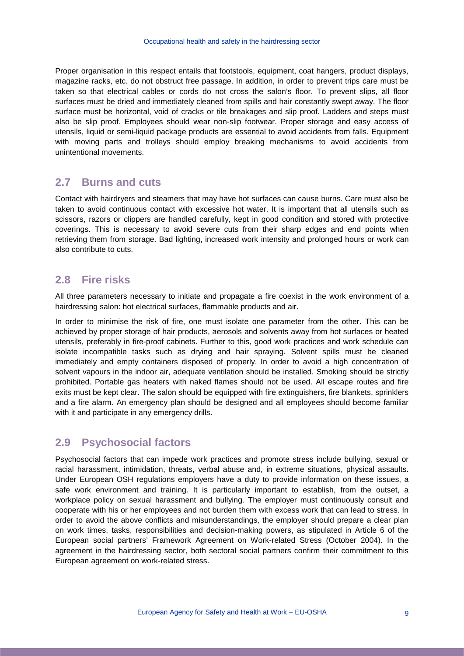Proper organisation in this respect entails that footstools, equipment, coat hangers, product displays, magazine racks, etc. do not obstruct free passage. In addition, in order to prevent trips care must be taken so that electrical cables or cords do not cross the salon's floor. To prevent slips, all floor surfaces must be dried and immediately cleaned from spills and hair constantly swept away. The floor surface must be horizontal, void of cracks or tile breakages and slip proof. Ladders and steps must also be slip proof. Employees should wear non-slip footwear. Proper storage and easy access of utensils, liquid or semi-liquid package products are essential to avoid accidents from falls. Equipment with moving parts and trolleys should employ breaking mechanisms to avoid accidents from unintentional movements.

#### <span id="page-9-0"></span>**2.7 Burns and cuts**

Contact with hairdryers and steamers that may have hot surfaces can cause burns. Care must also be taken to avoid continuous contact with excessive hot water. It is important that all utensils such as scissors, razors or clippers are handled carefully, kept in good condition and stored with protective coverings. This is necessary to avoid severe cuts from their sharp edges and end points when retrieving them from storage. Bad lighting, increased work intensity and prolonged hours or work can also contribute to cuts.

## <span id="page-9-1"></span>**2.8 Fire risks**

All three parameters necessary to initiate and propagate a fire coexist in the work environment of a hairdressing salon: hot electrical surfaces, flammable products and air.

In order to minimise the risk of fire, one must isolate one parameter from the other. This can be achieved by proper storage of hair products, aerosols and solvents away from hot surfaces or heated utensils, preferably in fire-proof cabinets. Further to this, good work practices and work schedule can isolate incompatible tasks such as drying and hair spraying. Solvent spills must be cleaned immediately and empty containers disposed of properly. In order to avoid a high concentration of solvent vapours in the indoor air, adequate ventilation should be installed. Smoking should be strictly prohibited. Portable gas heaters with naked flames should not be used. All escape routes and fire exits must be kept clear. The salon should be equipped with fire extinguishers, fire blankets, sprinklers and a fire alarm. An emergency plan should be designed and all employees should become familiar with it and participate in any emergency drills.

## <span id="page-9-2"></span>**2.9 Psychosocial factors**

Psychosocial factors that can impede work practices and promote stress include bullying, sexual or racial harassment, intimidation, threats, verbal abuse and, in extreme situations, physical assaults. Under European OSH regulations employers have a duty to provide information on these issues, a safe work environment and training. It is particularly important to establish, from the outset, a workplace policy on sexual harassment and bullying. The employer must continuously consult and cooperate with his or her employees and not burden them with excess work that can lead to stress. In order to avoid the above conflicts and misunderstandings, the employer should prepare a clear plan on work times, tasks, responsibilities and decision-making powers, as stipulated in Article 6 of the European social partners' Framework Agreement on Work-related Stress (October 2004). In the agreement in the hairdressing sector, both sectoral social partners confirm their commitment to this European agreement on work-related stress.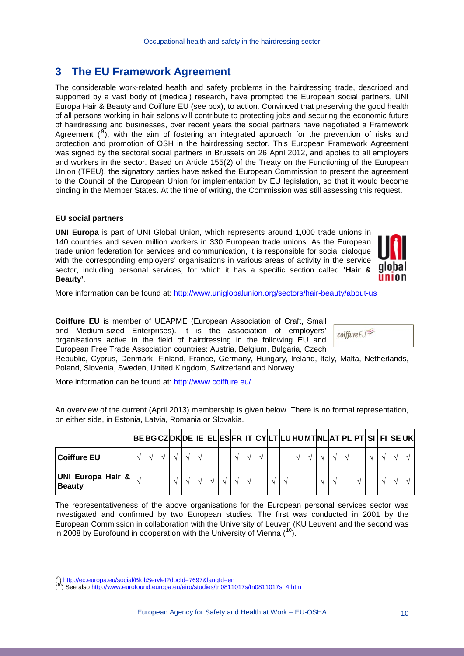## <span id="page-10-0"></span>**3 The EU Framework Agreement**

The considerable work-related health and safety problems in the hairdressing trade, described and supported by a vast body of (medical) research, have prompted the European social partners, UNI Europa Hair & Beauty and Coiffure EU (see box), to action. Convinced that preserving the good health of all persons working in hair salons will contribute to protecting jobs and securing the economic future of hairdressing and businesses, over recent years the social partners have negotiated a Framework Agreement  $(9)$  $(9)$  $(9)$ , with the aim of fostering an integrated approach for the prevention of risks and protection and promotion of OSH in the hairdressing sector. This European Framework Agreement was signed by the sectoral social partners in Brussels on 26 April 2012, and applies to all employers and workers in the sector. Based on Article 155(2) of the Treaty on the Functioning of the European Union (TFEU), the signatory parties have asked the European Commission to present the agreement to the Council of the European Union for implementation by EU legislation, so that it would become binding in the Member States. At the time of writing, the Commission was still assessing this request.

#### **EU social partners**

**UNI Europa** is part of UNI Global Union, which represents around 1,000 trade unions in 140 countries and seven million workers in 330 European trade unions. As the European trade union federation for services and communication, it is responsible for social dialogue with the corresponding employers' organisations in various areas of activity in the service sector, including personal services, for which it has a specific section called **'Hair & Beauty'**.



More information can be found at: <http://www.uniglobalunion.org/sectors/hair-beauty/about-us>

**Coiffure EU** is member of UEAPME (European Association of Craft, Small and Medium-sized Enterprises). It is the association of employers' organisations active in the field of hairdressing in the following EU and European Free Trade Association countries: Austria, Belgium, Bulgaria, Czech



Republic, Cyprus, Denmark, Finland, France, Germany, Hungary, Ireland, Italy, Malta, Netherlands, Poland, Slovenia, Sweden, United Kingdom, Switzerland and Norway.

More information can be found at: <http://www.coiffure.eu/>

|                                    |  |  |  | BEBG CZ DK DE  IE  EL ES FR  IT  CY LT LU HU MT NL AT PL PT  SI   FI  SE UK |  |  |  |  |  |  |  |  |
|------------------------------------|--|--|--|-----------------------------------------------------------------------------|--|--|--|--|--|--|--|--|
| <b>Coiffure EU</b>                 |  |  |  |                                                                             |  |  |  |  |  |  |  |  |
| UNI Europa Hair &<br><b>Beauty</b> |  |  |  |                                                                             |  |  |  |  |  |  |  |  |

An overview of the current (April 2013) membership is given below. There is no formal representation, on either side, in Estonia, Latvia, Romania or Slovakia.

The representativeness of the above organisations for the European personal services sector was investigated and confirmed by two European studies. The first was conducted in 2001 by the European Commission in collaboration with the University of Leuven (KU Leuven) and the second was in 2008 by Eurofound in cooperation with the University of Vienna  $(^{10})$  $(^{10})$  $(^{10})$ .

-

<span id="page-10-1"></span><sup>(</sup> 9 )<http://ec.europa.eu/social/BlobServlet?docId=7697&langId=en>

<span id="page-10-2"></span><sup>(&</sup>lt;sup>16</sup>) See als[o http://www.eurofound.europa.eu/eiro/studies/tn0811017s/tn0811017s\\_4.htm](http://www.eurofound.europa.eu/eiro/studies/tn0811017s/tn0811017s_4.htm)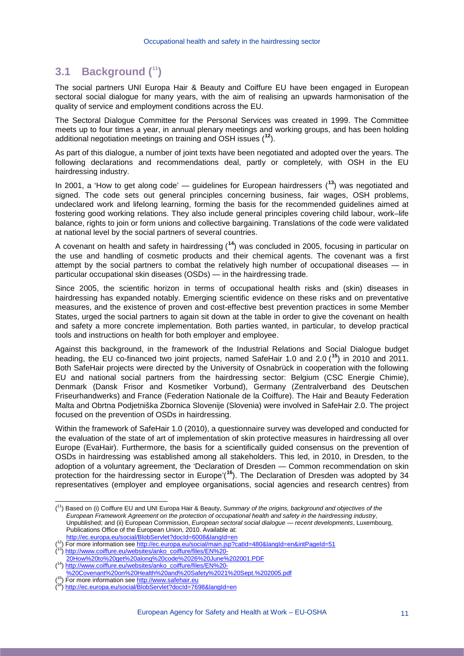## <span id="page-11-0"></span>**3.1 Background ( [11\)](#page-11-1)**

The social partners UNI Europa Hair & Beauty and Coiffure EU have been engaged in European sectoral social dialogue for many years, with the aim of realising an upwards harmonisation of the quality of service and employment conditions across the EU.

The Sectoral Dialogue Committee for the Personal Services was created in 1999. The Committee meets up to four times a year, in annual plenary meetings and working groups, and has been holding additional negotiation meetings on training and OSH issues ( **[12](#page-11-2)**).

As part of this dialogue, a number of joint texts have been negotiated and adopted over the years. The following declarations and recommendations deal, partly or completely, with OSH in the EU hairdressing industry.

In 2001, a 'How to get along code' — guidelines for European hairdressers ( **[13](#page-11-3)**) was negotiated and signed. The code sets out general principles concerning business, fair wages, OSH problems, undeclared work and lifelong learning, forming the basis for the recommended guidelines aimed at fostering good working relations. They also include general principles covering child labour, work–life balance, rights to join or form unions and collective bargaining. Translations of the code were validated at national level by the social partners of several countries.

A covenant on health and safety in hairdressing ( **[14](#page-11-4)**) was concluded in 2005, focusing in particular on the use and handling of cosmetic products and their chemical agents. The covenant was a first attempt by the social partners to combat the relatively high number of occupational diseases — in particular occupational skin diseases (OSDs) — in the hairdressing trade.

Since 2005, the scientific horizon in terms of occupational health risks and (skin) diseases in hairdressing has expanded notably. Emerging scientific evidence on these risks and on preventative measures, and the existence of proven and cost-effective best prevention practices in some Member States, urged the social partners to again sit down at the table in order to give the covenant on health and safety a more concrete implementation. Both parties wanted, in particular, to develop practical tools and instructions on health for both employer and employee.

Against this background, in the framework of the Industrial Relations and Social Dialogue budget heading, the EU co-financed two joint projects, named SafeHair 1.0 and 2.0 ( **[15](#page-11-5)**) in 2010 and 2011. Both SafeHair projects were directed by the University of Osnabrück in cooperation with the following EU and national social partners from the hairdressing sector: Belgium (CSC Energie Chimie), Denmark (Dansk Frisor and Kosmetiker Vorbund), Germany (Zentralverband des Deutschen Friseurhandwerks) and France (Federation Nationale de la Coiffure). The Hair and Beauty Federation Malta and Obrtna Podjetniška Zbornica Slovenije (Slovenia) were involved in SafeHair 2.0. The project focused on the prevention of OSDs in hairdressing.

Within the framework of SafeHair 1.0 (2010), a questionnaire survey was developed and conducted for the evaluation of the state of art of implementation of skin protective measures in hairdressing all over Europe (EvaHair). Furthermore, the basis for a scientifically guided consensus on the prevention of OSDs in hairdressing was established among all stakeholders. This led, in 2010, in Dresden, to the adoption of a voluntary agreement, the 'Declaration of Dresden — Common recommendation on skin protection for the hairdressing sector in Europe'(<sup>[16](#page-11-6)</sup>). The Declaration of Dresden was adopted by 34 representatives (employer and employee organisations, social agencies and research centres) from

<span id="page-11-1"></span><sup>(</sup> 11) Based on (i) Coiffure EU and UNI Europa Hair & Beauty, *Summary of the origins, background and objectives of the European Framework Agreement on the protection of occupational health and safety in the hairdressing industry*, Unpublished; and (ii) European Commission, *European sectoral social dialogue — recent developments*, Luxembourg, Publications Office of the European Union, 2010. Available at: <http://ec.europa.eu/social/BlobServlet?docId=6008&langId=en> -

<sup>(</sup> 12) For more information se[e http://ec.europa.eu/social/main.jsp?catId=480&langId=en&intPageId=51](http://ec.europa.eu/social/main.jsp?catId=480&langId=en&intPageId=51)

<sup>(</sup> 13) [http://www.coiffure.eu/websites/anko\\_coiffure/files/EN%20-](http://www.coiffure.eu/websites/anko_coiffure/files/EN%20-%2020How%20to%20get%20along%20code%2026%20June%202001.PDF)

<span id="page-11-4"></span><span id="page-11-3"></span><span id="page-11-2"></span>[<sup>20</sup>How%20to%20get%20along%20code%2026%20June%202001.PDF](http://www.coiffure.eu/websites/anko_coiffure/files/EN%20-%2020How%20to%20get%20along%20code%2026%20June%202001.PDF) (<sup>14</sup>) [http://www.coiffure.eu/websites/anko\\_coiffure/files/EN%20-](http://www.coiffure.eu/websites/anko_coiffure/files/EN%20-%20Covenant%20on%20Health%20and%20Safety%2021%20Sept.%202005.pdf)

[<sup>%20</sup>Covenant%20on%20Health%20and%20Safety%2021%20Sept.%202005.pdf](http://www.coiffure.eu/websites/anko_coiffure/files/EN%20-%20Covenant%20on%20Health%20and%20Safety%2021%20Sept.%202005.pdf)

<span id="page-11-5"></span><sup>(&</sup>lt;sup>15</sup>) For more information se[e http://www.safehair.eu](http://www.safehair.eu/)

<span id="page-11-6"></span><sup>(&</sup>lt;sup>16</sup>)<http://ec.europa.eu/social/BlobServlet?docId=7698&langId=en>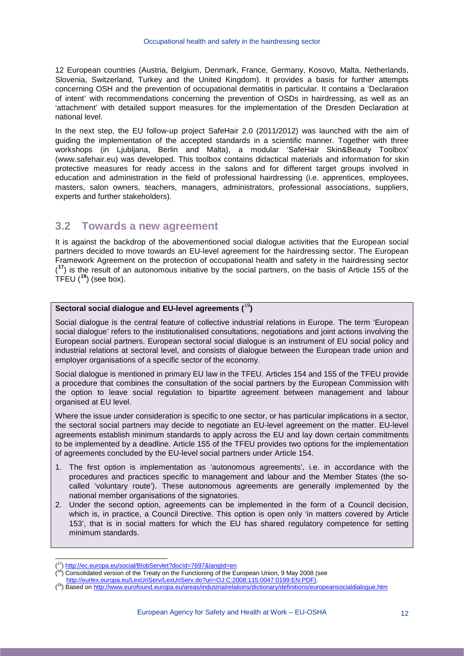12 European countries (Austria, Belgium, Denmark, France, Germany, Kosovo, Malta, Netherlands, Slovenia, Switzerland, Turkey and the United Kingdom). It provides a basis for further attempts concerning OSH and the prevention of occupational dermatitis in particular. It contains a 'Declaration of intent' with recommendations concerning the prevention of OSDs in hairdressing, as well as an 'attachment' with detailed support measures for the implementation of the Dresden Declaration at national level.

In the next step, the EU follow-up project SafeHair 2.0 (2011/2012) was launched with the aim of guiding the implementation of the accepted standards in a scientific manner. Together with three workshops (in Ljubljana, Berlin and Malta), a modular 'SafeHair Skin&Beauty Toolbox' (www.safehair.eu) was developed. This toolbox contains didactical materials and information for skin protective measures for ready access in the salons and for different target groups involved in education and administration in the field of professional hairdressing (i.e. apprentices, employees, masters, salon owners, teachers, managers, administrators, professional associations, suppliers, experts and further stakeholders).

## <span id="page-12-0"></span>**3.2 Towards a new agreement**

It is against the backdrop of the abovementioned social dialogue activities that the European social partners decided to move towards an EU-level agreement for the hairdressing sector. The European Framework Agreement on the protection of occupational health and safety in the hairdressing sector (<sup>[17](#page-12-1)</sup>) is the result of an autonomous initiative by the social partners, on the basis of Article 155 of the  $TFEU (18)$  $TFEU (18)$  $TFEU (18)$  (see box).

#### **Sectoral social dialogue and EU-level agreements (** [19](#page-12-3)**)**

Social dialogue is the central feature of collective industrial relations in Europe. The term 'European social dialogue' refers to the institutionalised consultations, negotiations and joint actions involving the European social partners. European sectoral social dialogue is an instrument of EU social policy and industrial relations at sectoral level, and consists of dialogue between the European trade union and employer organisations of a specific sector of the economy.

Social dialogue is mentioned in primary EU law in the TFEU. Articles 154 and 155 of the TFEU provide a procedure that combines the consultation of the social partners by the European Commission with the option to leave social regulation to bipartite agreement between management and labour organised at EU level.

Where the issue under consideration is specific to one sector, or has particular implications in a sector, the sectoral social partners may decide to negotiate an EU-level agreement on the matter. EU-level agreements establish minimum standards to apply across the EU and lay down certain commitments to be implemented by a deadline. Article 155 of the TFEU provides two options for the implementation of agreements concluded by the EU-level social partners under Article 154.

- 1. The first option is implementation as 'autonomous agreements', i.e. in accordance with the procedures and practices specific to management and labour and the Member States (the socalled 'voluntary route'). These autonomous agreements are generally implemented by the national member organisations of the signatories.
- 2. Under the second option, agreements can be implemented in the form of a Council decision, which is, in practice, a Council Directive. This option is open only 'in matters covered by Article 153', that is in social matters for which the EU has shared regulatory competence for setting minimum standards.

<sup>(&</sup>lt;sup>17</sup>)<http://ec.europa.eu/social/BlobServlet?docId=7697&langId=en> -

<span id="page-12-2"></span><span id="page-12-1"></span><sup>&</sup>lt;sup>(18</sup>) Consolidated version of the Treaty on the Functioning of the European Union, 9 May 2008 (see

[http://eurlex.europa.eu/LexUriServ/LexUriServ.do?uri=OJ:C:2008:115:0047:0199:EN:PDF\).](http://eurlex.europa.eu/LexUriServ/LexUriServ.do?uri=OJ:C:2008:115:0047:0199:EN:PDF))

<span id="page-12-3"></span><sup>&</sup>lt;sup>(19</sup>) Based on<http://www.eurofound.europa.eu/areas/industrialrelations/dictionary/definitions/europeansocialdialogue.htm>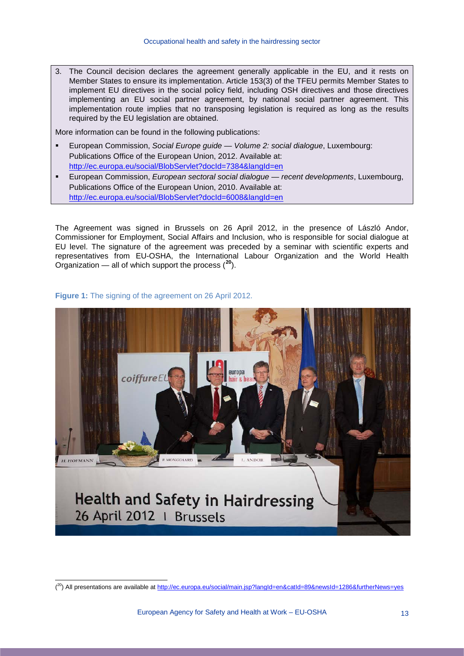3. The Council decision declares the agreement generally applicable in the EU, and it rests on Member States to ensure its implementation. Article 153(3) of the TFEU permits Member States to implement EU directives in the social policy field, including OSH directives and those directives implementing an EU social partner agreement, by national social partner agreement. This implementation route implies that no transposing legislation is required as long as the results required by the EU legislation are obtained.

More information can be found in the following publications:

- European Commission, *Social Europe guide — Volume 2: social dialogue*, Luxembourg: Publications Office of the European Union, 2012. Available at: <http://ec.europa.eu/social/BlobServlet?docId=7384&langId=en>
- European Commission, *European sectoral social dialogue — recent developments*, Luxembourg, Publications Office of the European Union, 2010. Available at: <http://ec.europa.eu/social/BlobServlet?docId=6008&langId=en>

The Agreement was signed in Brussels on 26 April 2012, in the presence of László Andor, Commissioner for Employment, Social Affairs and Inclusion, who is responsible for social dialogue at EU level. The signature of the agreement was preceded by a seminar with scientific experts and representatives from EU-OSHA, the International Labour Organization and the World Health Organization — all of which support the process ( **[20](#page-13-0)**).



#### **Figure 1:** The signing of the agreement on 26 April 2012.

-

<span id="page-13-0"></span><sup>(&</sup>lt;sup>20</sup>) All presentations are available at <u>http://ec.europa.eu/social/main.jsp?langId=en&catId=89&newsId=1286&furtherNews=yes</u>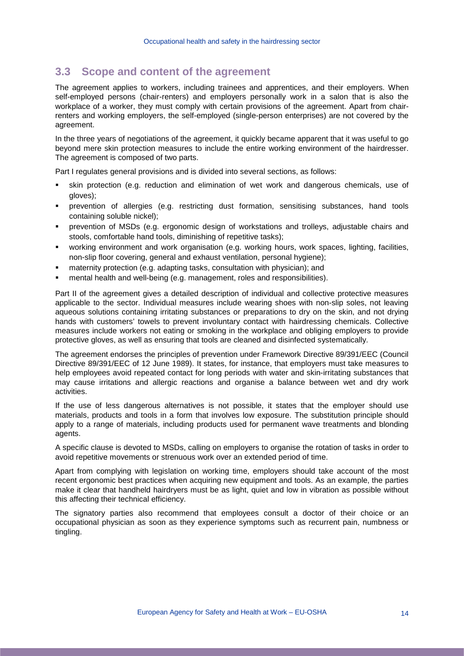#### <span id="page-14-0"></span>**3.3 Scope and content of the agreement**

The agreement applies to workers, including trainees and apprentices, and their employers. When self-employed persons (chair-renters) and employers personally work in a salon that is also the workplace of a worker, they must comply with certain provisions of the agreement. Apart from chairrenters and working employers, the self-employed (single-person enterprises) are not covered by the agreement.

In the three years of negotiations of the agreement, it quickly became apparent that it was useful to go beyond mere skin protection measures to include the entire working environment of the hairdresser. The agreement is composed of two parts.

Part I regulates general provisions and is divided into several sections, as follows:

- skin protection (e.g. reduction and elimination of wet work and dangerous chemicals, use of gloves);
- prevention of allergies (e.g. restricting dust formation, sensitising substances, hand tools containing soluble nickel);
- prevention of MSDs (e.g. ergonomic design of workstations and trolleys, adjustable chairs and stools, comfortable hand tools, diminishing of repetitive tasks);
- working environment and work organisation (e.g. working hours, work spaces, lighting, facilities, non-slip floor covering, general and exhaust ventilation, personal hygiene);
- maternity protection (e.g. adapting tasks, consultation with physician); and
- mental health and well-being (e.g. management, roles and responsibilities).

Part II of the agreement gives a detailed description of individual and collective protective measures applicable to the sector. Individual measures include wearing shoes with non-slip soles, not leaving aqueous solutions containing irritating substances or preparations to dry on the skin, and not drying hands with customers' towels to prevent involuntary contact with hairdressing chemicals. Collective measures include workers not eating or smoking in the workplace and obliging employers to provide protective gloves, as well as ensuring that tools are cleaned and disinfected systematically.

The agreement endorses the principles of prevention under Framework Directive 89/391/EEC (Council Directive 89/391/EEC of 12 June 1989). It states, for instance, that employers must take measures to help employees avoid repeated contact for long periods with water and skin-irritating substances that may cause irritations and allergic reactions and organise a balance between wet and dry work activities.

If the use of less dangerous alternatives is not possible, it states that the employer should use materials, products and tools in a form that involves low exposure. The substitution principle should apply to a range of materials, including products used for permanent wave treatments and blonding agents.

A specific clause is devoted to MSDs, calling on employers to organise the rotation of tasks in order to avoid repetitive movements or strenuous work over an extended period of time.

Apart from complying with legislation on working time, employers should take account of the most recent ergonomic best practices when acquiring new equipment and tools. As an example, the parties make it clear that handheld hairdryers must be as light, quiet and low in vibration as possible without this affecting their technical efficiency.

The signatory parties also recommend that employees consult a doctor of their choice or an occupational physician as soon as they experience symptoms such as recurrent pain, numbness or tingling.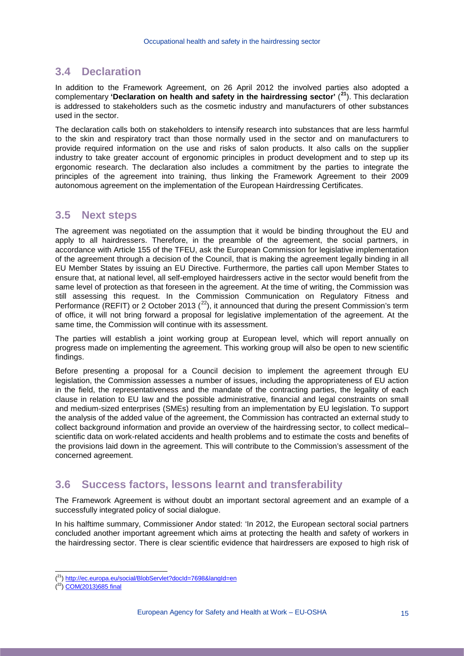## <span id="page-15-0"></span>**3.4 Declaration**

In addition to the Framework Agreement, on 26 April 2012 the involved parties also adopted a complementary **'Declaration on health and safety in the hairdressing sector'** ( **[21](#page-15-3)**). This declaration is addressed to stakeholders such as the cosmetic industry and manufacturers of other substances used in the sector.

The declaration calls both on stakeholders to intensify research into substances that are less harmful to the skin and respiratory tract than those normally used in the sector and on manufacturers to provide required information on the use and risks of salon products. It also calls on the supplier industry to take greater account of ergonomic principles in product development and to step up its ergonomic research. The declaration also includes a commitment by the parties to integrate the principles of the agreement into training, thus linking the Framework Agreement to their 2009 autonomous agreement on the implementation of the European Hairdressing Certificates.

## <span id="page-15-1"></span>**3.5 Next steps**

The agreement was negotiated on the assumption that it would be binding throughout the EU and apply to all hairdressers. Therefore, in the preamble of the agreement, the social partners, in accordance with Article 155 of the TFEU, ask the European Commission for legislative implementation of the agreement through a decision of the Council, that is making the agreement legally binding in all EU Member States by issuing an EU Directive. Furthermore, the parties call upon Member States to ensure that, at national level, all self-employed hairdressers active in the sector would benefit from the same level of protection as that foreseen in the agreement. At the time of writing, the Commission was still assessing this request. In the Commission Communication on Regulatory Fitness and Performance (REFIT) or 2 October 2013  $(^{22})$  $(^{22})$  $(^{22})$ , it announced that during the present Commission's term of office, it will not bring forward a proposal for legislative implementation of the agreement. At the same time, the Commission will continue with its assessment.

The parties will establish a joint working group at European level, which will report annually on progress made on implementing the agreement. This working group will also be open to new scientific findings.

Before presenting a proposal for a Council decision to implement the agreement through EU legislation, the Commission assesses a number of issues, including the appropriateness of EU action in the field, the representativeness and the mandate of the contracting parties, the legality of each clause in relation to EU law and the possible administrative, financial and legal constraints on small and medium-sized enterprises (SMEs) resulting from an implementation by EU legislation. To support the analysis of the added value of the agreement, the Commission has contracted an external study to collect background information and provide an overview of the hairdressing sector, to collect medical– scientific data on work-related accidents and health problems and to estimate the costs and benefits of the provisions laid down in the agreement. This will contribute to the Commission's assessment of the concerned agreement.

## <span id="page-15-2"></span>**3.6 Success factors, lessons learnt and transferability**

The Framework Agreement is without doubt an important sectoral agreement and an example of a successfully integrated policy of social dialogue.

In his halftime summary, Commissioner Andor stated: 'In 2012, the European sectoral social partners concluded another important agreement which aims at protecting the health and safety of workers in the hairdressing sector. There is clear scientific evidence that hairdressers are exposed to high risk of

<span id="page-15-3"></span><sup>(&</sup>lt;sup>21</sup>)<http://ec.europa.eu/social/BlobServlet?docId=7698&langId=en> -

<span id="page-15-4"></span><sup>(&</sup>lt;sup>22</sup>) COM(2013)685 final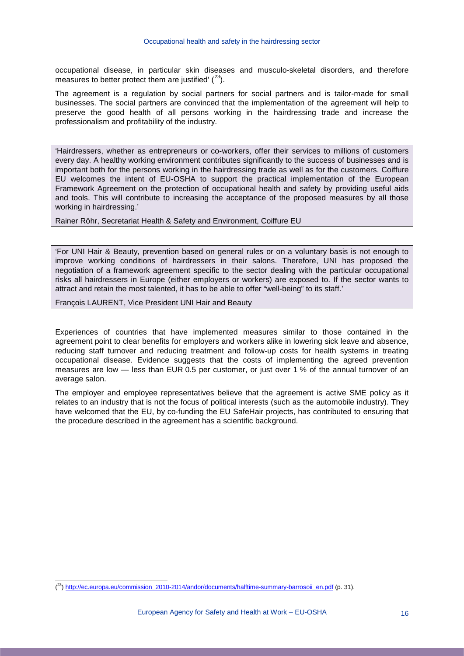occupational disease, in particular skin diseases and musculo-skeletal disorders, and therefore measures to better protect them are justified'  $(^{23})$ .

The agreement is a regulation by social partners for social partners and is tailor-made for small businesses. The social partners are convinced that the implementation of the agreement will help to preserve the good health of all persons working in the hairdressing trade and increase the professionalism and profitability of the industry.

'Hairdressers, whether as entrepreneurs or co-workers, offer their services to millions of customers every day. A healthy working environment contributes significantly to the success of businesses and is important both for the persons working in the hairdressing trade as well as for the customers. Coiffure EU welcomes the intent of EU-OSHA to support the practical implementation of the European Framework Agreement on the protection of occupational health and safety by providing useful aids and tools. This will contribute to increasing the acceptance of the proposed measures by all those working in hairdressing.'

Rainer Röhr, Secretariat Health & Safety and Environment, Coiffure EU

'For UNI Hair & Beauty, prevention based on general rules or on a voluntary basis is not enough to improve working conditions of hairdressers in their salons. Therefore, UNI has proposed the negotiation of a framework agreement specific to the sector dealing with the particular occupational risks all hairdressers in Europe (either employers or workers) are exposed to. If the sector wants to attract and retain the most talented, it has to be able to offer "well-being" to its staff.'

François LAURENT, Vice President UNI Hair and Beauty

Experiences of countries that have implemented measures similar to those contained in the agreement point to clear benefits for employers and workers alike in lowering sick leave and absence, reducing staff turnover and reducing treatment and follow-up costs for health systems in treating occupational disease. Evidence suggests that the costs of implementing the agreed prevention measures are low — less than EUR 0.5 per customer, or just over 1 % of the annual turnover of an average salon.

<span id="page-16-0"></span>The employer and employee representatives believe that the agreement is active SME policy as it relates to an industry that is not the focus of political interests (such as the automobile industry). They have welcomed that the EU, by co-funding the EU SafeHair projects, has contributed to ensuring that the procedure described in the agreement has a scientific background.

<span id="page-16-1"></span><sup>(&</sup>lt;sup>23</sup>) [http://ec.europa.eu/commission\\_2010-2014/andor/documents/halftime-summary-barrosoii\\_en.pdf](http://ec.europa.eu/commission_2010-2014/andor/documents/halftime-summary-barrosoii_en.pdf) (p. 31). -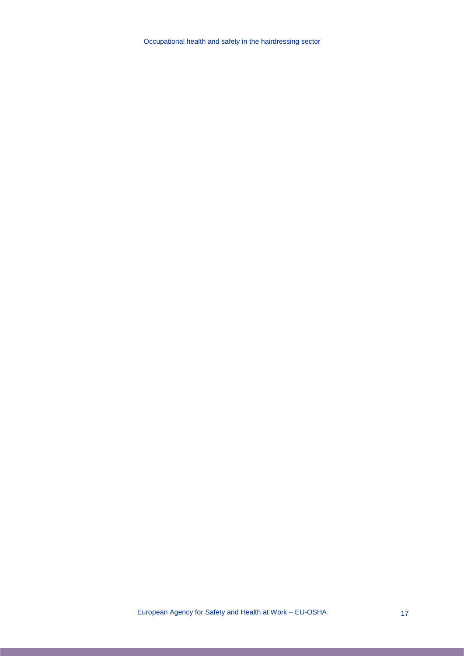Occupational health and safety in the hairdressing sector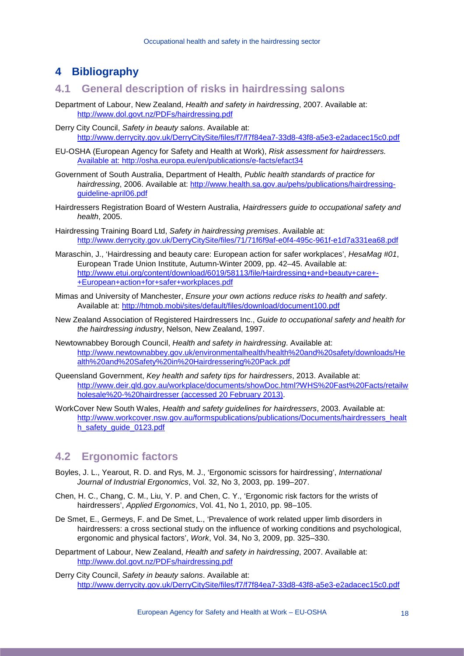## **4 Bibliography**

#### <span id="page-18-0"></span>**4.1 General description of risks in hairdressing salons**

- Department of Labour, New Zealand, *Health and safety in hairdressing*, 2007. Available at: <http://www.dol.govt.nz/PDFs/hairdressing.pdf>
- Derry City Council, *Safety in beauty salons*. Available at: <http://www.derrycity.gov.uk/DerryCitySite/files/f7/f7f84ea7-33d8-43f8-a5e3-e2adacec15c0.pdf>
- EU-OSHA (European Agency for Safety and Health at Work), *Risk assessment for hairdressers.*  [Available at: http://osha.europa.eu/en/publications/e-facts/efact34](https://osha.europa.eu/en/publications/e-facts/efact34)
- Government of South Australia, Department of Health, *Public health standards of practice for hairdressing*, 2006. Available at: [http://www.health.sa.gov.au/pehs/publications/hairdressing](http://www.health.sa.gov.au/pehs/publications/hairdressing-guideline-april06.pdf)[guideline-april06.pdf](http://www.health.sa.gov.au/pehs/publications/hairdressing-guideline-april06.pdf)
- Hairdressers Registration Board of Western Australia, *Hairdressers guide to occupational safety and health*, 2005.
- Hairdressing Training Board Ltd, *Safety in hairdressing premises*. Available at: <http://www.derrycity.gov.uk/DerryCitySite/files/71/71f6f9af-e0f4-495c-961f-e1d7a331ea68.pdf>
- Maraschin, J., 'Hairdressing and beauty care: European action for safer workplaces', *HesaMag #01*, European Trade Union Institute, Autumn-Winter 2009, pp. 42–45. Available at: [http://www.etui.org/content/download/6019/58113/file/Hairdressing+and+beauty+care+-](http://www.etui.org/content/download/6019/58113/file/Hairdressing+and+beauty+care+-+European+action+for+safer+workplaces.pdf) [+European+action+for+safer+workplaces.pdf](http://www.etui.org/content/download/6019/58113/file/Hairdressing+and+beauty+care+-+European+action+for+safer+workplaces.pdf)
- Mimas and University of Manchester, *Ensure your own actions reduce risks to health and safety*. Available at:<http://htmob.mobi/sites/default/files/download/document100.pdf>
- New Zealand Association of Registered Hairdressers Inc., *Guide to occupational safety and health for the hairdressing industry*, Nelson, New Zealand, 1997.
- Newtownabbey Borough Council, *Health and safety in hairdressing*. Available at: [http://www.newtownabbey.gov.uk/environmentalhealth/health%20and%20safety/downloads/He](http://www.newtownabbey.gov.uk/environmentalhealth/health%20and%20safety/downloads/Health%20and%20Safety%20in%20Hairdressering%20Pack.pdf) [alth%20and%20Safety%20in%20Hairdressering%20Pack.pdf](http://www.newtownabbey.gov.uk/environmentalhealth/health%20and%20safety/downloads/Health%20and%20Safety%20in%20Hairdressering%20Pack.pdf)
- Queensland Government, *Key health and safety tips for hairdressers*, 2013. Available at: [http://www.deir.qld.gov.au/workplace/documents/showDoc.html?WHS%20Fast%20Facts/retailw](http://www.deir.qld.gov.au/workplace/documents/showDoc.html?WHS%20Fast%20Facts/retailwholesale%20-%20hairdresser%20(accessed%2020%20February%202013)) holesale%20-%20hairdresser [\(accessed 20 February 2013\).](http://www.deir.qld.gov.au/workplace/documents/showDoc.html?WHS%20Fast%20Facts/retailwholesale%20-%20hairdresser%20(accessed%2020%20February%202013))
- WorkCover New South Wales, *Health and safety guidelines for hairdressers*, 2003. Available at: [http://www.workcover.nsw.gov.au/formspublications/publications/Documents/hairdressers\\_healt](http://www.workcover.nsw.gov.au/formspublications/publications/Documents/hairdressers_health_safety_guide_0123.pdf) [h\\_safety\\_guide\\_0123.pdf](http://www.workcover.nsw.gov.au/formspublications/publications/Documents/hairdressers_health_safety_guide_0123.pdf)

## <span id="page-18-1"></span>**4.2 Ergonomic factors**

- Boyles, J. L., Yearout, R. D. and Rys, M. J., 'Ergonomic scissors for hairdressing', *International Journal of Industrial Ergonomics*, Vol. 32, No 3, 2003, pp. 199–207.
- Chen, H. C., Chang, C. M., Liu, Y. P. and Chen, C. Y., 'Ergonomic risk factors for the wrists of hairdressers', *Applied Ergonomics*, Vol. 41, No 1, 2010, pp. 98–105.
- De Smet, E., Germeys, F. and De Smet, L., 'Prevalence of work related upper limb disorders in hairdressers: a cross sectional study on the influence of working conditions and psychological, ergonomic and physical factors', *Work*, Vol. 34, No 3, 2009, pp. 325–330.
- Department of Labour, New Zealand, *Health and safety in hairdressing*, 2007. Available at: <http://www.dol.govt.nz/PDFs/hairdressing.pdf>
- Derry City Council, *Safety in beauty salons*. Available at: <http://www.derrycity.gov.uk/DerryCitySite/files/f7/f7f84ea7-33d8-43f8-a5e3-e2adacec15c0.pdf>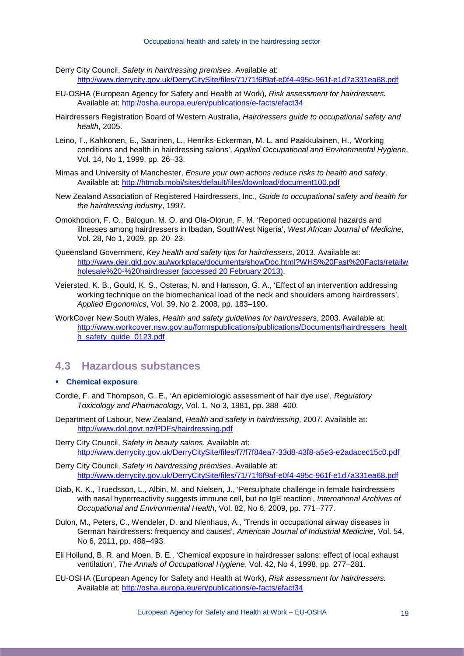Derry City Council, *Safety in hairdressing premises*. Available at: <http://www.derrycity.gov.uk/DerryCitySite/files/71/71f6f9af-e0f4-495c-961f-e1d7a331ea68.pdf>

- EU-OSHA (European Agency for Safety and Health at Work), *Risk assessment for hairdressers.*  Available at: [http://osha.europa.eu/en/publications/e-facts/efact34](https://osha.europa.eu/en/publications/e-facts/efact34)
- Hairdressers Registration Board of Western Australia, *Hairdressers guide to occupational safety and health*, 2005.
- Leino, T., Kahkonen, E., Saarinen, L., Henriks-Eckerman, M. L. and Paakkulainen, H., 'Working conditions and health in hairdressing salons', *Applied Occupational and Environmental Hygiene*, Vol. 14, No 1, 1999, pp. 26–33.
- Mimas and University of Manchester, *Ensure your own actions reduce risks to health and safety*. Available at:<http://htmob.mobi/sites/default/files/download/document100.pdf>
- New Zealand Association of Registered Hairdressers, Inc., *Guide to occupational safety and health for the hairdressing industry*, 1997.
- Omokhodion, F. O., Balogun, M. O. and Ola-Olorun, F. M. 'Reported occupational hazards and illnesses among hairdressers in Ibadan, SouthWest Nigeria', *West African Journal of Medicine*, Vol. 28, No 1, 2009, pp. 20–23.
- Queensland Government, *Key health and safety tips for hairdressers*, 2013. Available at: [http://www.deir.qld.gov.au/workplace/documents/showDoc.html?WHS%20Fast%20Facts/retailw](http://www.deir.qld.gov.au/workplace/documents/showDoc.html?WHS%20Fast%20Facts/retailwholesale%20-%20hairdresser%20(accessed%2020%20February%202013)) [holesale%20-%20hairdresser \(accessed 20 February 2013\).](http://www.deir.qld.gov.au/workplace/documents/showDoc.html?WHS%20Fast%20Facts/retailwholesale%20-%20hairdresser%20(accessed%2020%20February%202013))
- Veiersted, K. B., Gould, K. S., Osteras, N. and Hansson, G. A., 'Effect of an intervention addressing working technique on the biomechanical load of the neck and shoulders among hairdressers', *Applied Ergonomics*, Vol. 39, No 2, 2008, pp. 183–190.
- WorkCover New South Wales, *Health and safety guidelines for hairdressers*, 2003. Available at: [http://www.workcover.nsw.gov.au/formspublications/publications/Documents/hairdressers\\_healt](http://www.workcover.nsw.gov.au/formspublications/publications/Documents/hairdressers_health_safety_guide_0123.pdf) [h\\_safety\\_guide\\_0123.pdf](http://www.workcover.nsw.gov.au/formspublications/publications/Documents/hairdressers_health_safety_guide_0123.pdf)

## <span id="page-19-0"></span>**4.3 Hazardous substances**

#### **Chemical exposure**

- Cordle, F. and Thompson, G. E., 'An epidemiologic assessment of hair dye use', *Regulatory Toxicology and Pharmacology*, Vol. 1, No 3, 1981, pp. 388–400.
- Department of Labour, New Zealand, *Health and safety in hairdressing*, 2007. Available at: <http://www.dol.govt.nz/PDFs/hairdressing.pdf>
- Derry City Council, *Safety in beauty salons*. Available at: <http://www.derrycity.gov.uk/DerryCitySite/files/f7/f7f84ea7-33d8-43f8-a5e3-e2adacec15c0.pdf>
- Derry City Council, *Safety in hairdressing premises*. Available at: <http://www.derrycity.gov.uk/DerryCitySite/files/71/71f6f9af-e0f4-495c-961f-e1d7a331ea68.pdf>
- Diab, K. K., Truedsson, L., Albin, M. and Nielsen, J., 'Persulphate challenge in female hairdressers with nasal hyperreactivity suggests immune cell, but no IgE reaction', *International Archives of Occupational and Environmental Health*, Vol. 82, No 6, 2009, pp. 771–777.
- Dulon, M., Peters, C., Wendeler, D. and Nienhaus, A., 'Trends in occupational airway diseases in German hairdressers: frequency and causes', *American Journal of Industrial Medicine*, Vol. 54, No 6, 2011, pp. 486–493.
- Eli Hollund, B. R. and Moen, B. E., 'Chemical exposure in hairdresser salons: effect of local exhaust ventilation', *The Annals of Occupational Hygiene*, Vol. 42, No 4, 1998, pp. 277–281.
- EU-OSHA (European Agency for Safety and Health at Work), *Risk assessment for hairdressers.*  Available at: [http://osha.europa.eu/en/publications/e-facts/efact34](https://osha.europa.eu/en/publications/e-facts/efact34)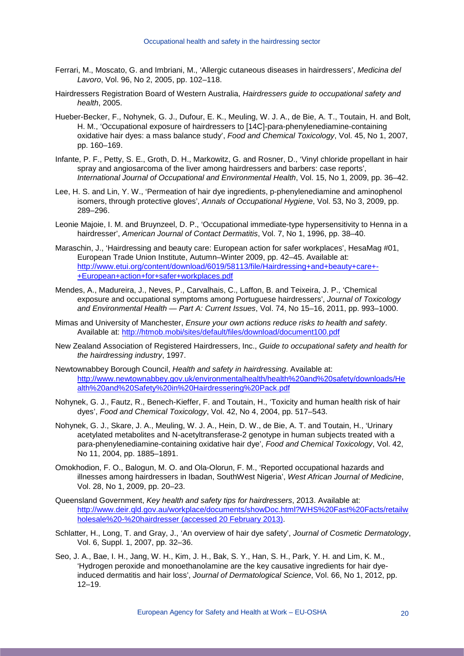- Ferrari, M., Moscato, G. and Imbriani, M., 'Allergic cutaneous diseases in hairdressers', *Medicina del Lavoro*, Vol. 96, No 2, 2005, pp. 102–118.
- Hairdressers Registration Board of Western Australia, *Hairdressers guide to occupational safety and health*, 2005.
- Hueber-Becker, F., Nohynek, G. J., Dufour, E. K., Meuling, W. J. A., de Bie, A. T., Toutain, H. and Bolt, H. M., 'Occupational exposure of hairdressers to [14C]-para-phenylenediamine-containing oxidative hair dyes: a mass balance study', *Food and Chemical Toxicology*, Vol. 45, No 1, 2007, pp. 160–169.
- Infante, P. F., Petty, S. E., Groth, D. H., Markowitz, G. and Rosner, D., 'Vinyl chloride propellant in hair spray and angiosarcoma of the liver among hairdressers and barbers: case reports', *International Journal of Occupational and Environmental Health*, Vol. 15, No 1, 2009, pp. 36–42.
- Lee, H. S. and Lin, Y. W., 'Permeation of hair dye ingredients, p-phenylenediamine and aminophenol isomers, through protective gloves', *Annals of Occupational Hygiene*, Vol. 53, No 3, 2009, pp. 289–296.
- Leonie Majoie, I. M. and Bruynzeel, D. P., 'Occupational immediate-type hypersensitivity to Henna in a hairdresser', *American Journal of Contact Dermatitis*, Vol. 7, No 1, 1996, pp. 38–40.
- Maraschin, J., 'Hairdressing and beauty care: European action for safer workplaces', HesaMag #01, European Trade Union Institute, Autumn–Winter 2009, pp. 42–45. Available at: [http://www.etui.org/content/download/6019/58113/file/Hairdressing+and+beauty+care+-](http://www.etui.org/content/download/6019/58113/file/Hairdressing+and+beauty+care+-+European+action+for+safer+workplaces.pdf) [+European+action+for+safer+workplaces.pdf](http://www.etui.org/content/download/6019/58113/file/Hairdressing+and+beauty+care+-+European+action+for+safer+workplaces.pdf)
- Mendes, A., Madureira, J., Neves, P., Carvalhais, C., Laffon, B. and Teixeira, J. P., 'Chemical exposure and occupational symptoms among Portuguese hairdressers', *Journal of Toxicology and Environmental Health — Part A: Current Issues*, Vol. 74, No 15–16, 2011, pp. 993–1000.
- Mimas and University of Manchester, *Ensure your own actions reduce risks to health and safety*. Available at:<http://htmob.mobi/sites/default/files/download/document100.pdf>
- New Zealand Association of Registered Hairdressers, Inc., *Guide to occupational safety and health for the hairdressing industry*, 1997.
- Newtownabbey Borough Council, *Health and safety in hairdressing*. Available at: [http://www.newtownabbey.gov.uk/environmentalhealth/health%20and%20safety/downloads/He](http://www.newtownabbey.gov.uk/environmentalhealth/health%20and%20safety/downloads/Health%20and%20Safety%20in%20Hairdressering%20Pack.pdf) [alth%20and%20Safety%20in%20Hairdressering%20Pack.pdf](http://www.newtownabbey.gov.uk/environmentalhealth/health%20and%20safety/downloads/Health%20and%20Safety%20in%20Hairdressering%20Pack.pdf)
- Nohynek, G. J., Fautz, R., Benech-Kieffer, F. and Toutain, H., 'Toxicity and human health risk of hair dyes', *Food and Chemical Toxicology*, Vol. 42, No 4, 2004, pp. 517–543.
- Nohynek, G. J., Skare, J. A., Meuling, W. J. A., Hein, D. W., de Bie, A. T. and Toutain, H., 'Urinary acetylated metabolites and N-acetyltransferase-2 genotype in human subjects treated with a para-phenylenediamine-containing oxidative hair dye', *Food and Chemical Toxicology*, Vol. 42, No 11, 2004, pp. 1885–1891.
- Omokhodion, F. O., Balogun, M. O. and Ola-Olorun, F. M., 'Reported occupational hazards and illnesses among hairdressers in Ibadan, SouthWest Nigeria', *West African Journal of Medicine*, Vol. 28, No 1, 2009, pp. 20–23.
- Queensland Government, *Key health and safety tips for hairdressers*, 2013. Available at: [http://www.deir.qld.gov.au/workplace/documents/showDoc.html?WHS%20Fast%20Facts/retailw](http://www.deir.qld.gov.au/workplace/documents/showDoc.html?WHS%20Fast%20Facts/retailwholesale%20-%20hairdresser%20(accessed%2020%20February%202013)) [holesale%20-%20hairdresser \(accessed 20 February 2013\).](http://www.deir.qld.gov.au/workplace/documents/showDoc.html?WHS%20Fast%20Facts/retailwholesale%20-%20hairdresser%20(accessed%2020%20February%202013))
- Schlatter, H., Long, T. and Gray, J., 'An overview of hair dye safety', *Journal of Cosmetic Dermatology*, Vol. 6, Suppl. 1, 2007, pp. 32–36.
- Seo, J. A., Bae, I. H., Jang, W. H., Kim, J. H., Bak, S. Y., Han, S. H., Park, Y. H. and Lim, K. M., 'Hydrogen peroxide and monoethanolamine are the key causative ingredients for hair dyeinduced dermatitis and hair loss', *Journal of Dermatological Science*, Vol. 66, No 1, 2012, pp. 12–19.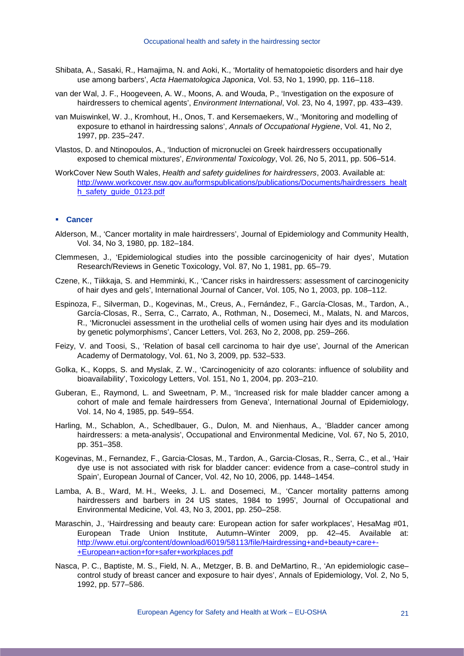- Shibata, A., Sasaki, R., Hamajima, N. and Aoki, K., 'Mortality of hematopoietic disorders and hair dye use among barbers', *Acta Haematologica Japonica*, Vol. 53, No 1, 1990, pp. 116–118.
- van der Wal, J. F., Hoogeveen, A. W., Moons, A. and Wouda, P., 'Investigation on the exposure of hairdressers to chemical agents', *Environment International*, Vol. 23, No 4, 1997, pp. 433–439.
- van Muiswinkel, W. J., Kromhout, H., Onos, T. and Kersemaekers, W., 'Monitoring and modelling of exposure to ethanol in hairdressing salons', *Annals of Occupational Hygiene*, Vol. 41, No 2, 1997, pp. 235–247.
- Vlastos, D. and Ntinopoulos, A., 'Induction of micronuclei on Greek hairdressers occupationally exposed to chemical mixtures', *Environmental Toxicology*, Vol. 26, No 5, 2011, pp. 506–514.
- WorkCover New South Wales, *Health and safety guidelines for hairdressers*, 2003. Available at: [http://www.workcover.nsw.gov.au/formspublications/publications/Documents/hairdressers\\_healt](http://www.workcover.nsw.gov.au/formspublications/publications/Documents/hairdressers_health_safety_guide_0123.pdf) [h\\_safety\\_guide\\_0123.pdf](http://www.workcover.nsw.gov.au/formspublications/publications/Documents/hairdressers_health_safety_guide_0123.pdf)

#### **Cancer**

- Alderson, M., 'Cancer mortality in male hairdressers', Journal of Epidemiology and Community Health, Vol. 34, No 3, 1980, pp. 182–184.
- Clemmesen, J., 'Epidemiological studies into the possible carcinogenicity of hair dyes', Mutation Research/Reviews in Genetic Toxicology, Vol. 87, No 1, 1981, pp. 65–79.
- Czene, K., Tiikkaja, S. and Hemminki, K., 'Cancer risks in hairdressers: assessment of carcinogenicity of hair dyes and gels', International Journal of Cancer, Vol. 105, No 1, 2003, pp. 108–112.
- Espinoza, F., Silverman, D., Kogevinas, M., Creus, A., Fernández, F., García-Closas, M., Tardon, A., García-Closas, R., Serra, C., Carrato, A., Rothman, N., Dosemeci, M., Malats, N. and Marcos, R., 'Micronuclei assessment in the urothelial cells of women using hair dyes and its modulation by genetic polymorphisms', Cancer Letters, Vol. 263, No 2, 2008, pp. 259–266.
- Feizy, V. and Toosi, S., 'Relation of basal cell carcinoma to hair dye use', Journal of the American Academy of Dermatology, Vol. 61, No 3, 2009, pp. 532–533.
- Golka, K., Kopps, S. and Myslak, Z. W., 'Carcinogenicity of azo colorants: influence of solubility and bioavailability', Toxicology Letters, Vol. 151, No 1, 2004, pp. 203–210.
- Guberan, E., Raymond, L. and Sweetnam, P. M., 'Increased risk for male bladder cancer among a cohort of male and female hairdressers from Geneva', International Journal of Epidemiology, Vol. 14, No 4, 1985, pp. 549–554.
- Harling, M., Schablon, A., Schedlbauer, G., Dulon, M. and Nienhaus, A., 'Bladder cancer among hairdressers: a meta-analysis', Occupational and Environmental Medicine, Vol. 67, No 5, 2010, pp. 351–358.
- Kogevinas, M., Fernandez, F., Garcia-Closas, M., Tardon, A., Garcia-Closas, R., Serra, C., et al., 'Hair dye use is not associated with risk for bladder cancer: evidence from a case–control study in Spain', European Journal of Cancer, Vol. 42, No 10, 2006, pp. 1448–1454.
- Lamba, A. B., Ward, M. H., Weeks, J. L. and Dosemeci, M., 'Cancer mortality patterns among hairdressers and barbers in 24 US states, 1984 to 1995', Journal of Occupational and Environmental Medicine, Vol. 43, No 3, 2001, pp. 250–258.
- Maraschin, J., 'Hairdressing and beauty care: European action for safer workplaces', HesaMag #01, European Trade Union Institute, Autumn–Winter 2009, pp. 42–45. Available at: [http://www.etui.org/content/download/6019/58113/file/Hairdressing+and+beauty+care+-](http://www.etui.org/content/download/6019/58113/file/Hairdressing+and+beauty+care+-+European+action+for+safer+workplaces.pdf) [+European+action+for+safer+workplaces.pdf](http://www.etui.org/content/download/6019/58113/file/Hairdressing+and+beauty+care+-+European+action+for+safer+workplaces.pdf)
- Nasca, P. C., Baptiste, M. S., Field, N. A., Metzger, B. B. and DeMartino, R., 'An epidemiologic case– control study of breast cancer and exposure to hair dyes', Annals of Epidemiology, Vol. 2, No 5, 1992, pp. 577–586.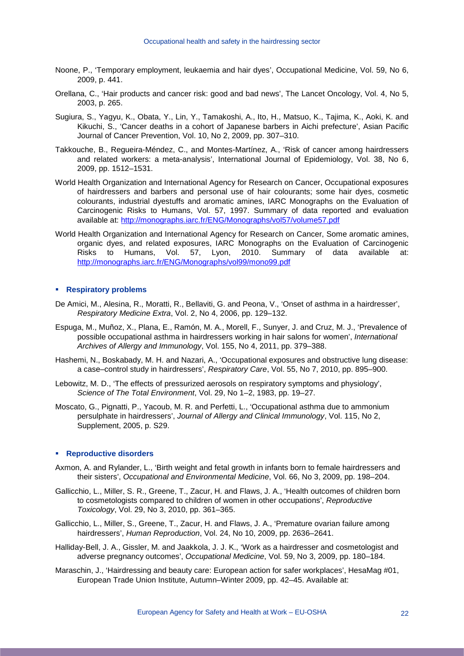- Noone, P., 'Temporary employment, leukaemia and hair dyes', Occupational Medicine, Vol. 59, No 6, 2009, p. 441.
- Orellana, C., 'Hair products and cancer risk: good and bad news', The Lancet Oncology, Vol. 4, No 5, 2003, p. 265.
- Sugiura, S., Yagyu, K., Obata, Y., Lin, Y., Tamakoshi, A., Ito, H., Matsuo, K., Tajima, K., Aoki, K. and Kikuchi, S., 'Cancer deaths in a cohort of Japanese barbers in Aichi prefecture', Asian Pacific Journal of Cancer Prevention, Vol. 10, No 2, 2009, pp. 307–310.
- Takkouche, B., Regueira-Méndez, C., and Montes-Martínez, A., 'Risk of cancer among hairdressers and related workers: a meta-analysis', International Journal of Epidemiology, Vol. 38, No 6, 2009, pp. 1512–1531.
- World Health Organization and International Agency for Research on Cancer, Occupational exposures of hairdressers and barbers and personal use of hair colourants; some hair dyes, cosmetic colourants, industrial dyestuffs and aromatic amines, IARC Monographs on the Evaluation of Carcinogenic Risks to Humans, Vol. 57, 1997. Summary of data reported and evaluation available at:<http://monographs.iarc.fr/ENG/Monographs/vol57/volume57.pdf>
- World Health Organization and International Agency for Research on Cancer, Some aromatic amines, organic dyes, and related exposures, IARC Monographs on the Evaluation of Carcinogenic<br>Risks to Humans, Vol. 57, Lyon, 2010. Summary of data available at: 2010. Summary of data available at: <http://monographs.iarc.fr/ENG/Monographs/vol99/mono99.pdf>

#### **Respiratory problems**

- De Amici, M., Alesina, R., Moratti, R., Bellaviti, G. and Peona, V., 'Onset of asthma in a hairdresser', *Respiratory Medicine Extra*, Vol. 2, No 4, 2006, pp. 129–132.
- Espuga, M., Muñoz, X., Plana, E., Ramón, M. A., Morell, F., Sunyer, J. and Cruz, M. J., 'Prevalence of possible occupational asthma in hairdressers working in hair salons for women', *International Archives of Allergy and Immunology*, Vol. 155, No 4, 2011, pp. 379–388.
- Hashemi, N., Boskabady, M. H. and Nazari, A., 'Occupational exposures and obstructive lung disease: a case–control study in hairdressers', *Respiratory Care*, Vol. 55, No 7, 2010, pp. 895–900.
- Lebowitz, M. D., 'The effects of pressurized aerosols on respiratory symptoms and physiology', *Science of The Total Environment*, Vol. 29, No 1–2, 1983, pp. 19–27.
- Moscato, G., Pignatti, P., Yacoub, M. R. and Perfetti, L., 'Occupational asthma due to ammonium persulphate in hairdressers', *Journal of Allergy and Clinical Immunology*, Vol. 115, No 2, Supplement, 2005, p. S29.

#### **Reproductive disorders**

- Axmon, A. and Rylander, L., 'Birth weight and fetal growth in infants born to female hairdressers and their sisters', *Occupational and Environmental Medicine*, Vol. 66, No 3, 2009, pp. 198–204.
- Gallicchio, L., Miller, S. R., Greene, T., Zacur, H. and Flaws, J. A., 'Health outcomes of children born to cosmetologists compared to children of women in other occupations', *Reproductive Toxicology*, Vol. 29, No 3, 2010, pp. 361–365.
- Gallicchio, L., Miller, S., Greene, T., Zacur, H. and Flaws, J. A., 'Premature ovarian failure among hairdressers', *Human Reproduction*, Vol. 24, No 10, 2009, pp. 2636–2641.
- Halliday-Bell, J. A., Gissler, M. and Jaakkola, J. J. K., 'Work as a hairdresser and cosmetologist and adverse pregnancy outcomes', *Occupational Medicine*, Vol. 59, No 3, 2009, pp. 180–184.
- Maraschin, J., 'Hairdressing and beauty care: European action for safer workplaces', HesaMag #01, European Trade Union Institute, Autumn–Winter 2009, pp. 42–45. Available at: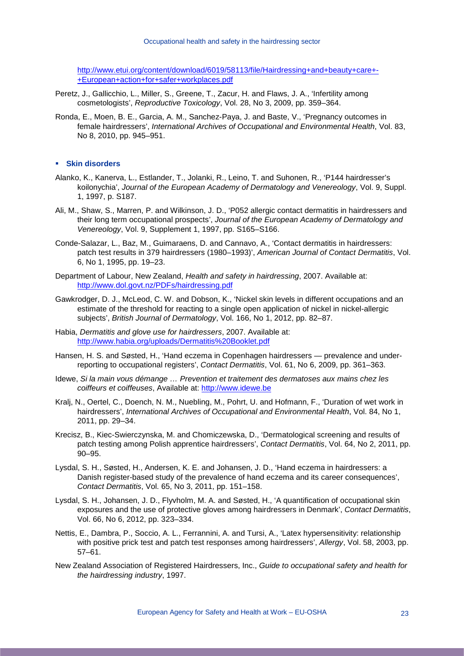[http://www.etui.org/content/download/6019/58113/file/Hairdressing+and+beauty+care+-](http://www.etui.org/content/download/6019/58113/file/Hairdressing+and+beauty+care+-+European+action+for+safer+workplaces.pdf) [+European+action+for+safer+workplaces.pdf](http://www.etui.org/content/download/6019/58113/file/Hairdressing+and+beauty+care+-+European+action+for+safer+workplaces.pdf)

- Peretz, J., Gallicchio, L., Miller, S., Greene, T., Zacur, H. and Flaws, J. A., 'Infertility among cosmetologists', *Reproductive Toxicology*, Vol. 28, No 3, 2009, pp. 359–364.
- Ronda, E., Moen, B. E., Garcia, A. M., Sanchez-Paya, J. and Baste, V., 'Pregnancy outcomes in female hairdressers', *International Archives of Occupational and Environmental Health*, Vol. 83, No 8, 2010, pp. 945–951.

#### **Skin disorders**

- Alanko, K., Kanerva, L., Estlander, T., Jolanki, R., Leino, T. and Suhonen, R., 'P144 hairdresser's koilonychia', *Journal of the European Academy of Dermatology and Venereology*, Vol. 9, Suppl. 1, 1997, p. S187.
- Ali, M., Shaw, S., Marren, P. and Wilkinson, J. D., 'P052 allergic contact dermatitis in hairdressers and their long term occupational prospects', *Journal of the European Academy of Dermatology and Venereology*, Vol. 9, Supplement 1, 1997, pp. S165–S166.
- Conde-Salazar, L., Baz, M., Guimaraens, D. and Cannavo, A., 'Contact dermatitis in hairdressers: patch test results in 379 hairdressers (1980–1993)', *American Journal of Contact Dermatitis*, Vol. 6, No 1, 1995, pp. 19–23.
- Department of Labour, New Zealand, *Health and safety in hairdressing*, 2007. Available at: <http://www.dol.govt.nz/PDFs/hairdressing.pdf>
- Gawkrodger, D. J., McLeod, C. W. and Dobson, K., 'Nickel skin levels in different occupations and an estimate of the threshold for reacting to a single open application of nickel in nickel-allergic subjects', *British Journal of Dermatology*, Vol. 166, No 1, 2012, pp. 82–87.
- Habia, *Dermatitis and glove use for hairdressers*, 2007. Available at: <http://www.habia.org/uploads/Dermatitis%20Booklet.pdf>
- Hansen, H. S. and Søsted, H., 'Hand eczema in Copenhagen hairdressers prevalence and underreporting to occupational registers', *Contact Dermatitis*, Vol. 61, No 6, 2009, pp. 361–363.
- Idewe, *Si la main vous démange … Prevention et traitement des dermatoses aux mains chez les coiffeurs et coiffeuses*, Available at: [http://www.idewe.be](http://www.idewe.be/)
- Kralj, N., Oertel, C., Doench, N. M., Nuebling, M., Pohrt, U. and Hofmann, F., 'Duration of wet work in hairdressers', *International Archives of Occupational and Environmental Health*, Vol. 84, No 1, 2011, pp. 29–34.
- Krecisz, B., Kiec-Swierczynska, M. and Chomiczewska, D., 'Dermatological screening and results of patch testing among Polish apprentice hairdressers', *Contact Dermatitis*, Vol. 64, No 2, 2011, pp. 90–95.
- Lysdal, S. H., Søsted, H., Andersen, K. E. and Johansen, J. D., 'Hand eczema in hairdressers: a Danish register-based study of the prevalence of hand eczema and its career consequences', *Contact Dermatitis*, Vol. 65, No 3, 2011, pp. 151–158.
- Lysdal, S. H., Johansen, J. D., Flyvholm, M. A. and Søsted, H., 'A quantification of occupational skin exposures and the use of protective gloves among hairdressers in Denmark', *Contact Dermatitis*, Vol. 66, No 6, 2012, pp. 323–334.
- Nettis, E., Dambra, P., Soccio, A. L., Ferrannini, A. and Tursi, A., 'Latex hypersensitivity: relationship with positive prick test and patch test responses among hairdressers', *Allergy*, Vol. 58, 2003, pp. 57–61.
- New Zealand Association of Registered Hairdressers, Inc., *Guide to occupational safety and health for the hairdressing industry*, 1997.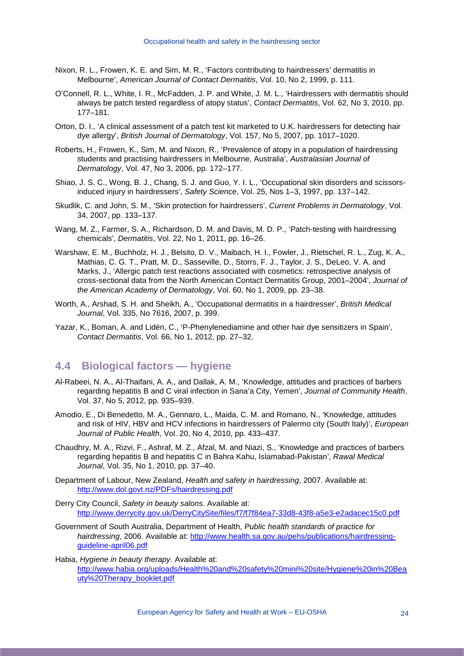- Nixon, R. L., Frowen, K. E. and Sim, M. R., 'Factors contributing to hairdressers' dermatitis in Melbourne', *American Journal of Contact Dermatitis*, Vol. 10, No 2, 1999, p. 111.
- O'Connell, R. L., White, I. R., McFadden, J. P. and White, J. M. L., 'Hairdressers with dermatitis should always be patch tested regardless of atopy status', *Contact Dermatitis*, Vol. 62, No 3, 2010, pp. 177–181.
- Orton, D. I., 'A clinical assessment of a patch test kit marketed to U.K. hairdressers for detecting hair dye allergy', *British Journal of Dermatology*, Vol. 157, No 5, 2007, pp. 1017–1020.
- Roberts, H., Frowen, K., Sim, M. and Nixon, R., 'Prevalence of atopy in a population of hairdressing students and practising hairdressers in Melbourne, Australia', *Australasian Journal of Dermatology*, Vol. 47, No 3, 2006, pp. 172–177.
- Shiao, J. S. C., Wong, B. J., Chang, S. J. and Guo, Y. I. L., 'Occupational skin disorders and scissorsinduced injury in hairdressers', *Safety Science*, Vol. 25, Nos 1–3, 1997, pp. 137–142.
- Skudlik, C. and John, S. M., 'Skin protection for hairdressers', *Current Problems in Dermatology*, Vol. 34, 2007, pp. 133–137.
- Wang, M. Z., Farmer, S. A., Richardson, D. M. and Davis, M. D. P., 'Patch-testing with hairdressing chemicals', *Dermatitis*, Vol. 22, No 1, 2011, pp. 16–26.
- Warshaw, E. M., Buchholz, H. J., Belsito, D. V., Maibach, H. I., Fowler, J., Rietschel, R. L., Zug, K. A., Mathias, C. G. T., Pratt, M. D., Sasseville, D., Storrs, F. J., Taylor, J. S., DeLeo, V. A. and Marks, J., 'Allergic patch test reactions associated with cosmetics: retrospective analysis of cross-sectional data from the North American Contact Dermatitis Group, 2001–2004', *Journal of the American Academy of Dermatology*, Vol. 60, No 1, 2009, pp. 23–38.
- Worth, A., Arshad, S. H. and Sheikh, A., 'Occupational dermatitis in a hairdresser', *British Medical Journal*, Vol. 335, No 7616, 2007, p. 399.
- Yazar, K., Boman, A. and Lidén, C., 'P-Phenylenediamine and other hair dye sensitizers in Spain', *Contact Dermatitis*, Vol. 66, No 1, 2012, pp. 27–32.

## <span id="page-24-0"></span>**4.4 Biological factors — hygiene**

- Al-Rabeei, N. A., Al-Thaifani, A. A., and Dallak, A. M., 'Knowledge, attitudes and practices of barbers regarding hepatitis B and C viral infection in Sana'a City, Yemen', *Journal of Community Health*, Vol. 37, No 5, 2012, pp. 935–939.
- Amodio, E., Di Benedetto, M. A., Gennaro, L., Maida, C. M. and Romano, N., 'Knowledge, attitudes and risk of HIV, HBV and HCV infections in hairdressers of Palermo city (South Italy)', *European Journal of Public Health*, Vol. 20, No 4, 2010, pp. 433–437.
- Chaudhry, M. A., Rizvi, F., Ashraf, M. Z., Afzal, M. and Niazi, S., 'Knowledge and practices of barbers regarding hepatitis B and hepatitis C in Bahra Kahu, Islamabad-Pakistan', *Rawal Medical Journal*, Vol. 35, No 1, 2010, pp. 37–40.
- Department of Labour, New Zealand, *Health and safety in hairdressing*, 2007. Available at: <http://www.dol.govt.nz/PDFs/hairdressing.pdf>
- Derry City Council, *Safety in beauty salons*. Available at: <http://www.derrycity.gov.uk/DerryCitySite/files/f7/f7f84ea7-33d8-43f8-a5e3-e2adacec15c0.pdf>
- Government of South Australia, Department of Health, *Public health standards of practice for hairdressing*, 2006. Available at: [http://www.health.sa.gov.au/pehs/publications/hairdressing](http://www.health.sa.gov.au/pehs/publications/hairdressing-guideline-april06.pdf)[guideline-april06.pdf](http://www.health.sa.gov.au/pehs/publications/hairdressing-guideline-april06.pdf)
- Habia, *Hygiene in beauty therapy*. Available at: [http://www.habia.org/uploads/Health%20and%20safety%20mini%20site/Hygiene%20in%20Bea](http://www.habia.org/uploads/Health%20and%20safety%20mini%20site/Hygiene%20in%20Beauty%20Therapy_booklet.pdf) [uty%20Therapy\\_booklet.pdf](http://www.habia.org/uploads/Health%20and%20safety%20mini%20site/Hygiene%20in%20Beauty%20Therapy_booklet.pdf)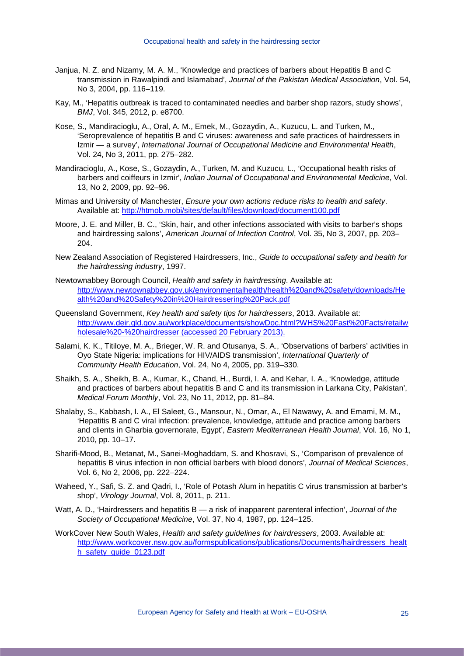- Janjua, N. Z. and Nizamy, M. A. M., 'Knowledge and practices of barbers about Hepatitis B and C transmission in Rawalpindi and Islamabad', *Journal of the Pakistan Medical Association*, Vol. 54, No 3, 2004, pp. 116–119.
- Kay, M., 'Hepatitis outbreak is traced to contaminated needles and barber shop razors, study shows', *BMJ*, Vol. 345, 2012, p. e8700.
- Kose, S., Mandiracioglu, A., Oral, A. M., Emek, M., Gozaydin, A., Kuzucu, L. and Turken, M., 'Seroprevalence of hepatitis B and C viruses: awareness and safe practices of hairdressers in Izmir — a survey', *International Journal of Occupational Medicine and Environmental Health*, Vol. 24, No 3, 2011, pp. 275–282.
- Mandiracioglu, A., Kose, S., Gozaydin, A., Turken, M. and Kuzucu, L., 'Occupational health risks of barbers and coiffeurs in Izmir', *Indian Journal of Occupational and Environmental Medicine*, Vol. 13, No 2, 2009, pp. 92–96.
- Mimas and University of Manchester, *Ensure your own actions reduce risks to health and safety*. Available at:<http://htmob.mobi/sites/default/files/download/document100.pdf>
- Moore, J. E. and Miller, B. C., 'Skin, hair, and other infections associated with visits to barber's shops and hairdressing salons', *American Journal of Infection Control*, Vol. 35, No 3, 2007, pp. 203– 204.
- New Zealand Association of Registered Hairdressers, Inc., *Guide to occupational safety and health for the hairdressing industry*, 1997.
- Newtownabbey Borough Council, *Health and safety in hairdressing*. Available at: [http://www.newtownabbey.gov.uk/environmentalhealth/health%20and%20safety/downloads/He](http://www.newtownabbey.gov.uk/environmentalhealth/health%20and%20safety/downloads/Health%20and%20Safety%20in%20Hairdressering%20Pack.pdf) [alth%20and%20Safety%20in%20Hairdressering%20Pack.pdf](http://www.newtownabbey.gov.uk/environmentalhealth/health%20and%20safety/downloads/Health%20and%20Safety%20in%20Hairdressering%20Pack.pdf)
- Queensland Government, *Key health and safety tips for hairdressers*, 2013. Available at: [http://www.deir.qld.gov.au/workplace/documents/showDoc.html?WHS%20Fast%20Facts/retailw](http://www.deir.qld.gov.au/workplace/documents/showDoc.html?WHS%20Fast%20Facts/retailwholesale%20-%20hairdresser%20(accessed%2020%20February%202013).) [holesale%20-%20hairdresser \(accessed 20 February 2013\).](http://www.deir.qld.gov.au/workplace/documents/showDoc.html?WHS%20Fast%20Facts/retailwholesale%20-%20hairdresser%20(accessed%2020%20February%202013).)
- Salami, K. K., Titiloye, M. A., Brieger, W. R. and Otusanya, S. A., 'Observations of barbers' activities in Oyo State Nigeria: implications for HIV/AIDS transmission', *International Quarterly of Community Health Education*, Vol. 24, No 4, 2005, pp. 319–330.
- Shaikh, S. A., Sheikh, B. A., Kumar, K., Chand, H., Burdi, I. A. and Kehar, I. A., 'Knowledge, attitude and practices of barbers about hepatitis B and C and its transmission in Larkana City, Pakistan', *Medical Forum Monthly*, Vol. 23, No 11, 2012, pp. 81–84.
- Shalaby, S., Kabbash, I. A., El Saleet, G., Mansour, N., Omar, A., El Nawawy, A. and Emami, M. M., 'Hepatitis B and C viral infection: prevalence, knowledge, attitude and practice among barbers and clients in Gharbia governorate, Egypt', *Eastern Mediterranean Health Journal*, Vol. 16, No 1, 2010, pp. 10–17.
- Sharifi-Mood, B., Metanat, M., Sanei-Moghaddam, S. and Khosravi, S., 'Comparison of prevalence of hepatitis B virus infection in non official barbers with blood donors', *Journal of Medical Sciences*, Vol. 6, No 2, 2006, pp. 222–224.
- Waheed, Y., Safi, S. Z. and Qadri, I., 'Role of Potash Alum in hepatitis C virus transmission at barber's shop', *Virology Journal*, Vol. 8, 2011, p. 211.
- Watt, A. D., 'Hairdressers and hepatitis B a risk of inapparent parenteral infection', *Journal of the Society of Occupational Medicine*, Vol. 37, No 4, 1987, pp. 124–125.
- WorkCover New South Wales, *Health and safety guidelines for hairdressers*, 2003. Available at: [http://www.workcover.nsw.gov.au/formspublications/publications/Documents/hairdressers\\_healt](http://www.workcover.nsw.gov.au/formspublications/publications/Documents/hairdressers_health_safety_guide_0123.pdf) [h\\_safety\\_guide\\_0123.pdf](http://www.workcover.nsw.gov.au/formspublications/publications/Documents/hairdressers_health_safety_guide_0123.pdf)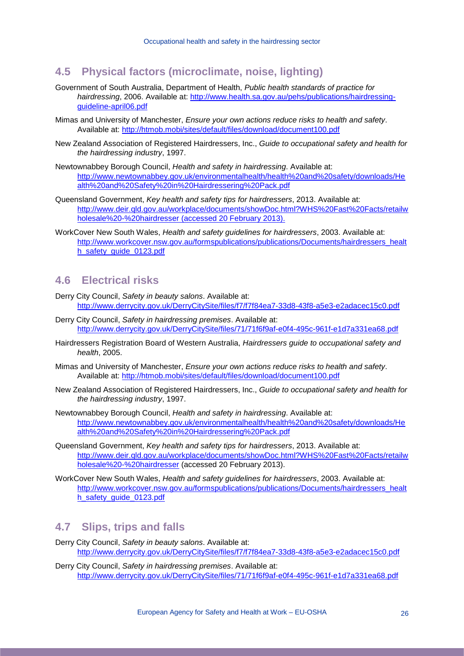## <span id="page-26-0"></span>**4.5 Physical factors (microclimate, noise, lighting)**

- Government of South Australia, Department of Health, *Public health standards of practice for hairdressing*, 2006. Available at: [http://www.health.sa.gov.au/pehs/publications/hairdressing](http://www.health.sa.gov.au/pehs/publications/hairdressing-guideline-april06.pdf)[guideline-april06.pdf](http://www.health.sa.gov.au/pehs/publications/hairdressing-guideline-april06.pdf)
- Mimas and University of Manchester, *Ensure your own actions reduce risks to health and safety*. Available at:<http://htmob.mobi/sites/default/files/download/document100.pdf>
- New Zealand Association of Registered Hairdressers, Inc., *Guide to occupational safety and health for the hairdressing industry*, 1997.
- Newtownabbey Borough Council, *Health and safety in hairdressing*. Available at: [http://www.newtownabbey.gov.uk/environmentalhealth/health%20and%20safety/downloads/He](http://www.newtownabbey.gov.uk/environmentalhealth/health%20and%20safety/downloads/Health%20and%20Safety%20in%20Hairdressering%20Pack.pdf) [alth%20and%20Safety%20in%20Hairdressering%20Pack.pdf](http://www.newtownabbey.gov.uk/environmentalhealth/health%20and%20safety/downloads/Health%20and%20Safety%20in%20Hairdressering%20Pack.pdf)
- Queensland Government, *Key health and safety tips for hairdressers*, 2013. Available at: [http://www.deir.qld.gov.au/workplace/documents/showDoc.html?WHS%20Fast%20Facts/retailw](http://www.deir.qld.gov.au/workplace/documents/showDoc.html?WHS%20Fast%20Facts/retailwholesale%20-%20hairdresser%20(accessed%2020%20February%202013).) [holesale%20-%20hairdresser \(accessed 20 February 2013\).](http://www.deir.qld.gov.au/workplace/documents/showDoc.html?WHS%20Fast%20Facts/retailwholesale%20-%20hairdresser%20(accessed%2020%20February%202013).)
- WorkCover New South Wales, *Health and safety guidelines for hairdressers*, 2003. Available at: [http://www.workcover.nsw.gov.au/formspublications/publications/Documents/hairdressers\\_healt](http://www.workcover.nsw.gov.au/formspublications/publications/Documents/hairdressers_health_safety_guide_0123.pdf) [h\\_safety\\_guide\\_0123.pdf](http://www.workcover.nsw.gov.au/formspublications/publications/Documents/hairdressers_health_safety_guide_0123.pdf)

#### <span id="page-26-1"></span>**4.6 Electrical risks**

- Derry City Council, *Safety in beauty salons*. Available at: <http://www.derrycity.gov.uk/DerryCitySite/files/f7/f7f84ea7-33d8-43f8-a5e3-e2adacec15c0.pdf>
- Derry City Council, *Safety in hairdressing premises*. Available at: <http://www.derrycity.gov.uk/DerryCitySite/files/71/71f6f9af-e0f4-495c-961f-e1d7a331ea68.pdf>
- Hairdressers Registration Board of Western Australia, *Hairdressers guide to occupational safety and health*, 2005.
- Mimas and University of Manchester, *Ensure your own actions reduce risks to health and safety*. Available at:<http://htmob.mobi/sites/default/files/download/document100.pdf>
- New Zealand Association of Registered Hairdressers, Inc., *Guide to occupational safety and health for the hairdressing industry*, 1997.
- Newtownabbey Borough Council, *Health and safety in hairdressing*. Available at: [http://www.newtownabbey.gov.uk/environmentalhealth/health%20and%20safety/downloads/He](http://www.newtownabbey.gov.uk/environmentalhealth/health%20and%20safety/downloads/Health%20and%20Safety%20in%20Hairdressering%20Pack.pdf) [alth%20and%20Safety%20in%20Hairdressering%20Pack.pdf](http://www.newtownabbey.gov.uk/environmentalhealth/health%20and%20safety/downloads/Health%20and%20Safety%20in%20Hairdressering%20Pack.pdf)
- Queensland Government, *Key health and safety tips for hairdressers*, 2013. Available at: [http://www.deir.qld.gov.au/workplace/documents/showDoc.html?WHS%20Fast%20Facts/retailw](http://www.deir.qld.gov.au/workplace/documents/showDoc.html?WHS%20Fast%20Facts/retailwholesale%20-%20hairdresser) [holesale%20-%20hairdresser](http://www.deir.qld.gov.au/workplace/documents/showDoc.html?WHS%20Fast%20Facts/retailwholesale%20-%20hairdresser) (accessed 20 February 2013).
- WorkCover New South Wales, *Health and safety guidelines for hairdressers*, 2003. Available at: [http://www.workcover.nsw.gov.au/formspublications/publications/Documents/hairdressers\\_healt](http://www.workcover.nsw.gov.au/formspublications/publications/Documents/hairdressers_health_safety_guide_0123.pdf) [h\\_safety\\_guide\\_0123.pdf](http://www.workcover.nsw.gov.au/formspublications/publications/Documents/hairdressers_health_safety_guide_0123.pdf)

## <span id="page-26-2"></span>**4.7 Slips, trips and falls**

- Derry City Council, *Safety in beauty salons*. Available at: <http://www.derrycity.gov.uk/DerryCitySite/files/f7/f7f84ea7-33d8-43f8-a5e3-e2adacec15c0.pdf>
- Derry City Council, *Safety in hairdressing premises*. Available at: <http://www.derrycity.gov.uk/DerryCitySite/files/71/71f6f9af-e0f4-495c-961f-e1d7a331ea68.pdf>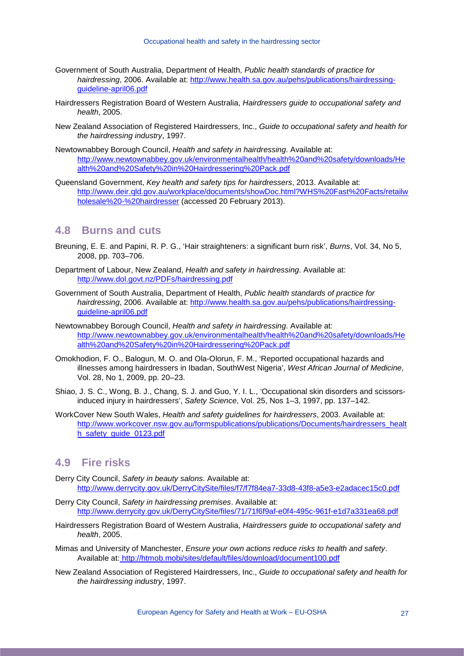- Government of South Australia, Department of Health, *Public health standards of practice for hairdressing*, 2006. Available at: [http://www.health.sa.gov.au/pehs/publications/hairdressing](http://www.health.sa.gov.au/pehs/publications/hairdressing-guideline-april06.pdf)[guideline-april06.pdf](http://www.health.sa.gov.au/pehs/publications/hairdressing-guideline-april06.pdf)
- Hairdressers Registration Board of Western Australia, *Hairdressers guide to occupational safety and health*, 2005.
- New Zealand Association of Registered Hairdressers, Inc., *Guide to occupational safety and health for the hairdressing industry*, 1997.
- Newtownabbey Borough Council, *Health and safety in hairdressing*. Available at: [http://www.newtownabbey.gov.uk/environmentalhealth/health%20and%20safety/downloads/He](http://www.newtownabbey.gov.uk/environmentalhealth/health%20and%20safety/downloads/Health%20and%20Safety%20in%20Hairdressering%20Pack.pdf) [alth%20and%20Safety%20in%20Hairdressering%20Pack.pdf](http://www.newtownabbey.gov.uk/environmentalhealth/health%20and%20safety/downloads/Health%20and%20Safety%20in%20Hairdressering%20Pack.pdf)
- Queensland Government, *Key health and safety tips for hairdressers*, 2013. Available at: [http://www.deir.qld.gov.au/workplace/documents/showDoc.html?WHS%20Fast%20Facts/retailw](http://www.deir.qld.gov.au/workplace/documents/showDoc.html?WHS%20Fast%20Facts/retailwholesale%20-%20hairdresser) [holesale%20-%20hairdresser](http://www.deir.qld.gov.au/workplace/documents/showDoc.html?WHS%20Fast%20Facts/retailwholesale%20-%20hairdresser) (accessed 20 February 2013).

#### <span id="page-27-0"></span>**4.8 Burns and cuts**

- Breuning, E. E. and Papini, R. P. G., 'Hair straighteners: a significant burn risk', *Burns*, Vol. 34, No 5, 2008, pp. 703–706.
- Department of Labour, New Zealand, *Health and safety in hairdressing*. Available at: <http://www.dol.govt.nz/PDFs/hairdressing.pdf>
- Government of South Australia, Department of Health, *Public health standards of practice for hairdressing*, 2006. Available at: [http://www.health.sa.gov.au/pehs/publications/hairdressing](http://www.health.sa.gov.au/pehs/publications/hairdressing-guideline-april06.pdf)[guideline-april06.pdf](http://www.health.sa.gov.au/pehs/publications/hairdressing-guideline-april06.pdf)
- Newtownabbey Borough Council, *Health and safety in hairdressing*. Available at: [http://www.newtownabbey.gov.uk/environmentalhealth/health%20and%20safety/downloads/He](http://www.newtownabbey.gov.uk/environmentalhealth/health%20and%20safety/downloads/Health%20and%20Safety%20in%20Hairdressering%20Pack.pdf) [alth%20and%20Safety%20in%20Hairdressering%20Pack.pdf](http://www.newtownabbey.gov.uk/environmentalhealth/health%20and%20safety/downloads/Health%20and%20Safety%20in%20Hairdressering%20Pack.pdf)
- Omokhodion, F. O., Balogun, M. O. and Ola-Olorun, F. M., 'Reported occupational hazards and illnesses among hairdressers in Ibadan, SouthWest Nigeria', *West African Journal of Medicine*, Vol. 28, No 1, 2009, pp. 20–23.
- Shiao, J. S. C., Wong, B. J., Chang, S. J. and Guo, Y. I. L., 'Occupational skin disorders and scissorsinduced injury in hairdressers', *Safety Science*, Vol. 25, Nos 1–3, 1997, pp. 137–142.
- WorkCover New South Wales, *Health and safety guidelines for hairdressers*, 2003. Available at: [http://www.workcover.nsw.gov.au/formspublications/publications/Documents/hairdressers\\_healt](http://www.workcover.nsw.gov.au/formspublications/publications/Documents/hairdressers_health_safety_guide_0123.pdf) [h\\_safety\\_guide\\_0123.pdf](http://www.workcover.nsw.gov.au/formspublications/publications/Documents/hairdressers_health_safety_guide_0123.pdf)

#### <span id="page-27-1"></span>**4.9 Fire risks**

- Derry City Council, *Safety in beauty salons*. Available at: <http://www.derrycity.gov.uk/DerryCitySite/files/f7/f7f84ea7-33d8-43f8-a5e3-e2adacec15c0.pdf>
- Derry City Council, *Safety in hairdressing premises*. Available at: <http://www.derrycity.gov.uk/DerryCitySite/files/71/71f6f9af-e0f4-495c-961f-e1d7a331ea68.pdf>
- Hairdressers Registration Board of Western Australia, *Hairdressers guide to occupational safety and health*, 2005.
- Mimas and University of Manchester, *Ensure your own actions reduce risks to health and safety*. Available at: <http://htmob.mobi/sites/default/files/download/document100.pdf>
- New Zealand Association of Registered Hairdressers, Inc., *Guide to occupational safety and health for the hairdressing industry*, 1997.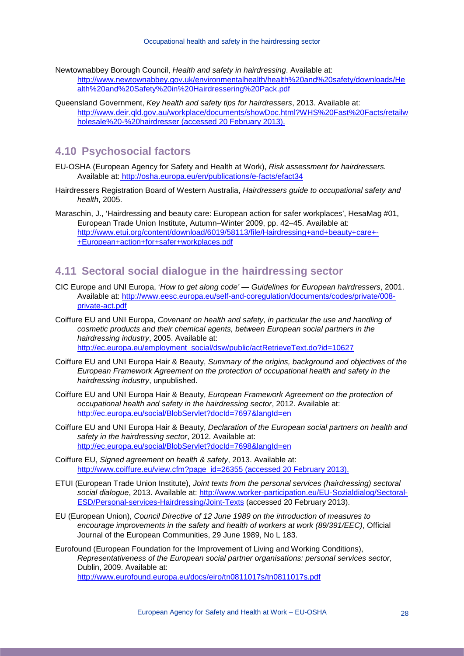Newtownabbey Borough Council, *Health and safety in hairdressing*. Available at:

[http://www.newtownabbey.gov.uk/environmentalhealth/health%20and%20safety/downloads/He](http://www.newtownabbey.gov.uk/environmentalhealth/health%20and%20safety/downloads/Health%20and%20Safety%20in%20Hairdressering%20Pack.pdf) [alth%20and%20Safety%20in%20Hairdressering%20Pack.pdf](http://www.newtownabbey.gov.uk/environmentalhealth/health%20and%20safety/downloads/Health%20and%20Safety%20in%20Hairdressering%20Pack.pdf)

Queensland Government, *Key health and safety tips for hairdressers*, 2013. Available at: [http://www.deir.qld.gov.au/workplace/documents/showDoc.html?WHS%20Fast%20Facts/retailw](http://www.deir.qld.gov.au/workplace/documents/showDoc.html?WHS%20Fast%20Facts/retailwholesale%20-%20hairdresser%20(accessed%2020%20February%202013).) [holesale%20-%20hairdresser \(accessed 20 February 2013\).](http://www.deir.qld.gov.au/workplace/documents/showDoc.html?WHS%20Fast%20Facts/retailwholesale%20-%20hairdresser%20(accessed%2020%20February%202013).)

#### <span id="page-28-0"></span>**4.10 Psychosocial factors**

- EU-OSHA (European Agency for Safety and Health at Work), *Risk assessment for hairdressers.*  Available at: [http://osha.europa.eu/en/publications/e-facts/efact34](https://osha.europa.eu/en/publications/e-facts/efact34)
- Hairdressers Registration Board of Western Australia, *Hairdressers guide to occupational safety and health*, 2005.
- Maraschin, J., 'Hairdressing and beauty care: European action for safer workplaces', HesaMag #01, European Trade Union Institute, Autumn–Winter 2009, pp. 42–45. Available at: [http://www.etui.org/content/download/6019/58113/file/Hairdressing+and+beauty+care+-](http://www.etui.org/content/download/6019/58113/file/Hairdressing+and+beauty+care+-+European+action+for+safer+workplaces.pdf) [+European+action+for+safer+workplaces.pdf](http://www.etui.org/content/download/6019/58113/file/Hairdressing+and+beauty+care+-+European+action+for+safer+workplaces.pdf)

#### <span id="page-28-1"></span>**4.11 Sectoral social dialogue in the hairdressing sector**

- CIC Europe and UNI Europa, '*How to get along code' — Guidelines for European hairdressers*, 2001. Available at: [http://www.eesc.europa.eu/self-and-coregulation/documents/codes/private/008](http://www.eesc.europa.eu/self-and-coregulation/documents/codes/private/008-private-act.pdf) [private-act.pdf](http://www.eesc.europa.eu/self-and-coregulation/documents/codes/private/008-private-act.pdf)
- Coiffure EU and UNI Europa, *Covenant on health and safety, in particular the use and handling of cosmetic products and their chemical agents, between European social partners in the hairdressing industry*, 2005. Available at: [http://ec.europa.eu/employment\\_social/dsw/public/actRetrieveText.do?id=10627](http://ec.europa.eu/employment_social/dsw/public/actRetrieveText.do?id=10627)
- Coiffure EU and UNI Europa Hair & Beauty, *Summary of the origins, background and objectives of the European Framework Agreement on the protection of occupational health and safety in the hairdressing industry*, unpublished.
- Coiffure EU and UNI Europa Hair & Beauty, *European Framework Agreement on the protection of occupational health and safety in the hairdressing sector*, 2012. Available at: <http://ec.europa.eu/social/BlobServlet?docId=7697&langId=en>
- Coiffure EU and UNI Europa Hair & Beauty, *Declaration of the European social partners on health and safety in the hairdressing sector*, 2012. Available at: <http://ec.europa.eu/social/BlobServlet?docId=7698&langId=en>
- Coiffure EU, *Signed agreement on health & safety*, 2013. Available at: [http://www.coiffure.eu/view.cfm?page\\_id=26355 \(accessed 20 February 2013\).](http://www.coiffure.eu/view.cfm?page_id=26355%20(accessed%2020%20February%202013).)
- ETUI (European Trade Union Institute), *Joint texts from the personal services (hairdressing) sectoral social dialogue*, 2013. Available at: [http://www.worker-participation.eu/EU-Sozialdialog/Sectoral-](http://www.worker-participation.eu/EU-Sozialdialog/Sectoral-ESD/Personal-services-Hairdressing/Joint-Texts)[ESD/Personal-services-Hairdressing/Joint-Texts](http://www.worker-participation.eu/EU-Sozialdialog/Sectoral-ESD/Personal-services-Hairdressing/Joint-Texts) (accessed 20 February 2013).
- EU (European Union), *Council Directive of 12 June 1989 on the introduction of measures to encourage improvements in the safety and health of workers at work (89/391/EEC)*, Official Journal of the European Communities, 29 June 1989, No L 183.
- Eurofound (European Foundation for the Improvement of Living and Working Conditions), *Representativeness of the European social partner organisations: personal services sector*, Dublin, 2009. Available at: <http://www.eurofound.europa.eu/docs/eiro/tn0811017s/tn0811017s.pdf>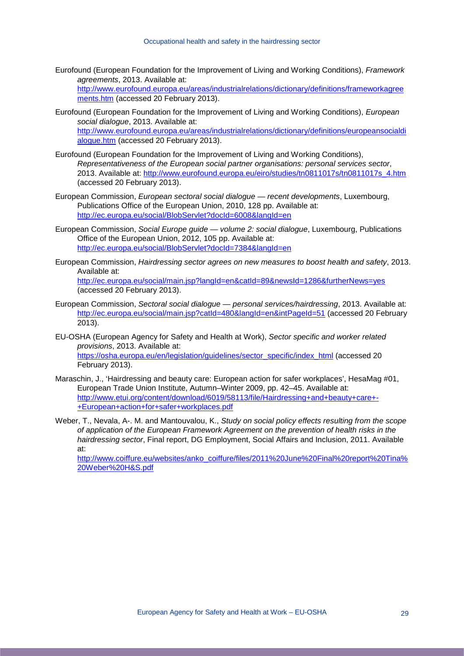Eurofound (European Foundation for the Improvement of Living and Working Conditions), *Framework agreements*, 2013. Available at:

[http://www.eurofound.europa.eu/areas/industrialrelations/dictionary/definitions/frameworkagree](http://www.eurofound.europa.eu/areas/industrialrelations/dictionary/definitions/frameworkagreements.htm) [ments.htm](http://www.eurofound.europa.eu/areas/industrialrelations/dictionary/definitions/frameworkagreements.htm) (accessed 20 February 2013).

Eurofound (European Foundation for the Improvement of Living and Working Conditions), *European social dialogue*, 2013. Available at: [http://www.eurofound.europa.eu/areas/industrialrelations/dictionary/definitions/europeansocialdi](http://www.eurofound.europa.eu/areas/industrialrelations/dictionary/definitions/europeansocialdialogue.htm)

[alogue.htm](http://www.eurofound.europa.eu/areas/industrialrelations/dictionary/definitions/europeansocialdialogue.htm) (accessed 20 February 2013). Eurofound (European Foundation for the Improvement of Living and Working Conditions), *Representativeness of the European social partner organisations: personal services sector*,

- 2013. Available at: [http://www.eurofound.europa.eu/eiro/studies/tn0811017s/tn0811017s\\_4.htm](http://www.eurofound.europa.eu/eiro/studies/tn0811017s/tn0811017s_4.htm)  (accessed 20 February 2013).
- European Commission, *European sectoral social dialogue — recent developments*, Luxembourg, Publications Office of the European Union, 2010, 128 pp. Available at: <http://ec.europa.eu/social/BlobServlet?docId=6008&langId=en>
- European Commission, *Social Europe guide — volume 2: social dialogue*, Luxembourg, Publications Office of the European Union, 2012, 105 pp. Available at: <http://ec.europa.eu/social/BlobServlet?docId=7384&langId=en>
- European Commission, *Hairdressing sector agrees on new measures to boost health and safety*, 2013. Available at:

[http://ec.europa.eu/social/main.jsp?langId=en&catId=89&newsId=1286&furtherNews=yes](http://ec.europa.eu/social/main.jsp?langId=en&catId=89&newsId=1286&furtherNews=yes%20)  (accessed 20 February 2013).

- European Commission, *Sectoral social dialogue — personal services/hairdressing*, 2013. Available at: <http://ec.europa.eu/social/main.jsp?catId=480&langId=en&intPageId=51> (accessed 20 February 2013).
- EU-OSHA (European Agency for Safety and Health at Work), *Sector specific and worker related provisions*, 2013. Available at: [https://osha.europa.eu/en/legislation/guidelines/sector\\_specific/index\\_html](https://osha.europa.eu/en/legislation/guidelines/sector_specific/index_html) (accessed 20 February 2013).
- Maraschin, J., 'Hairdressing and beauty care: European action for safer workplaces', HesaMag #01, European Trade Union Institute, Autumn–Winter 2009, pp. 42–45. Available at: [http://www.etui.org/content/download/6019/58113/file/Hairdressing+and+beauty+care+-](http://www.etui.org/content/download/6019/58113/file/Hairdressing+and+beauty+care+-+European+action+for+safer+workplaces.pdf) [+European+action+for+safer+workplaces.pdf](http://www.etui.org/content/download/6019/58113/file/Hairdressing+and+beauty+care+-+European+action+for+safer+workplaces.pdf)
- Weber, T., Nevala, A-. M. and Mantouvalou, K., *Study on social policy effects resulting from the scope of application of the European Framework Agreement on the prevention of health risks in the hairdressing sector*, Final report, DG Employment, Social Affairs and Inclusion, 2011. Available at:

[http://www.coiffure.eu/websites/anko\\_coiffure/files/2011%20June%20Final%20report%20Tina%](http://www.coiffure.eu/websites/anko_coiffure/files/2011%20June%20Final%20report%20Tina%20Weber%20H&S.pdf) [20Weber%20H&S.pdf](http://www.coiffure.eu/websites/anko_coiffure/files/2011%20June%20Final%20report%20Tina%20Weber%20H&S.pdf)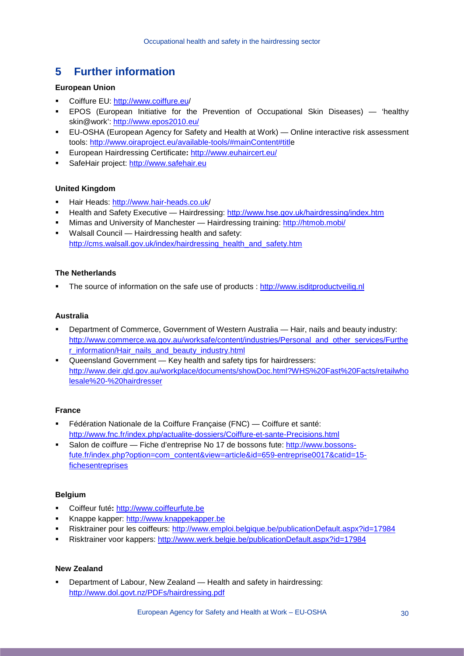# <span id="page-30-0"></span>**5 Further information**

#### **European Union**

- Coiffure EU: [http://www.coiffure.eu/](http://www.coiffure.eu/websites/anko_coiffure/files/2011%20June%20Final%20report%20Tina%20Weber%20H&S.pdf)
- EPOS (European Initiative for the Prevention of Occupational Skin Diseases) 'healthy skin@work':<http://www.epos2010.eu/>
- **EU-OSHA (European Agency for Safety and Health at Work) Online interactive risk assessment** tools: [http://www.oiraproject.eu/available-tools/#mainContent#title](http://www.oiraproject.eu/available-tools/%23mainContent)
- European Hairdressing Certificate**:** <http://www.euhaircert.eu/>
- SafeHair project: [http://www.safehair.eu](http://www.safehair.eu/)

#### **United Kingdom**

- Hair Heads:<http://www.hair-heads.co.uk/>
- Health and Safety Executive Hairdressing:<http://www.hse.gov.uk/hairdressing/index.htm>
- Mimas and University of Manchester Hairdressing training:<http://htmob.mobi/>
- Walsall Council Hairdressing health and safety: [http://cms.walsall.gov.uk/index/hairdressing\\_health\\_and\\_safety.htm](http://cms.walsall.gov.uk/index/hairdressing_health_and_safety.htm)

#### **The Netherlands**

The source of information on the safe use of products : [http://www.isditproductveilig.nl](http://www.isditproductveilig.nl/)

#### **Australia**

- Department of Commerce, Government of Western Australia Hair, nails and beauty industry: [http://www.commerce.wa.gov.au/worksafe/content/industries/Personal\\_and\\_other\\_services/Furthe](http://www.commerce.wa.gov.au/worksafe/content/industries/Personal_and_other_services/Further_information/Hair_nails_and_beauty_industry.html) [r\\_information/Hair\\_nails\\_and\\_beauty\\_industry.html](http://www.commerce.wa.gov.au/worksafe/content/industries/Personal_and_other_services/Further_information/Hair_nails_and_beauty_industry.html)
- Queensland Government Key health and safety tips for hairdressers: [http://www.deir.qld.gov.au/workplace/documents/showDoc.html?WHS%20Fast%20Facts/retailwho](http://www.deir.qld.gov.au/workplace/documents/showDoc.html?WHS%20Fast%20Facts/retailwholesale%20-%20hairdresser) [lesale%20-%20hairdresser](http://www.deir.qld.gov.au/workplace/documents/showDoc.html?WHS%20Fast%20Facts/retailwholesale%20-%20hairdresser)

#### **France**

- Fédération Nationale de la Coiffure Française (FNC) Coiffure et santé: <http://www.fnc.fr/index.php/actualite-dossiers/Coiffure-et-sante-Precisions.html>
- Salon de coiffure Fiche d'entreprise No 17 de bossons fute: [http://www.bossons](http://www.bossons-fute.fr/index.php?option=com_content&view=article&id=659-entreprise0017&catid=15-fichesentreprises)[fute.fr/index.php?option=com\\_content&view=article&id=659-entreprise0017&catid=15](http://www.bossons-fute.fr/index.php?option=com_content&view=article&id=659-entreprise0017&catid=15-fichesentreprises) [fichesentreprises](http://www.bossons-fute.fr/index.php?option=com_content&view=article&id=659-entreprise0017&catid=15-fichesentreprises)

#### **Belgium**

- Coiffeur futé**:** [http://www.coiffeurfute.be](http://www.coiffeurfute.be/)
- Knappe kapper: [http://www.knappekapper.be](http://www.knappekapper.be/)
- Risktrainer pour les coiffeurs:<http://www.emploi.belgique.be/publicationDefault.aspx?id=17984>
- Risktrainer voor kappers:<http://www.werk.belgie.be/publicationDefault.aspx?id=17984>

#### **New Zealand**

 Department of Labour, New Zealand — Health and safety in hairdressing: <http://www.dol.govt.nz/PDFs/hairdressing.pdf>